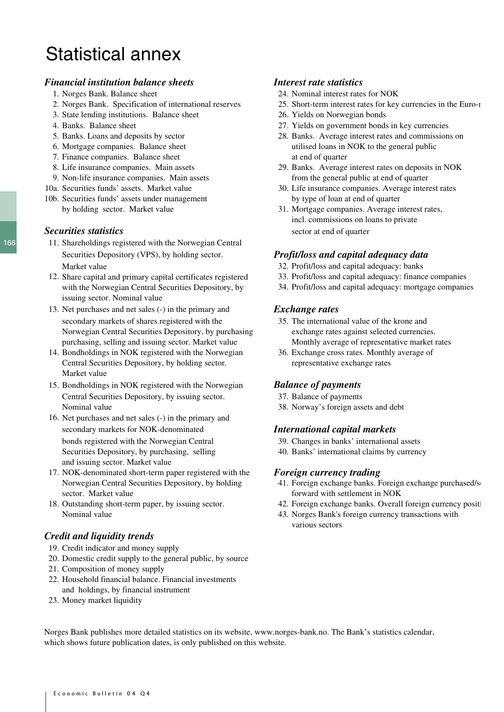# Statistical annex

# *Financial institution balance sheets Interest rate statistics*

- 
- 
- 3. State lending institutions. Balance sheet 26. Yields on Norwegian bonds
- 
- 
- 
- 7. Finance companies. Balance sheet at end of quarter
- 
- 
- 
- 10b. Securities funds' assets under management by type of loan at end of quarter

- 11. Shareholdings registered with the Norwegian Central Securities Depository (VPS), by holding sector. *Profit/loss and capital adequacy data* Market value 32. Profit/loss and capital adequacy: banks
- 12. Share capital and primary capital certificates registered 33. Profit/loss and capital adequacy: finance companies with the Norwegian Central Securities Depository, by 34. Profit/loss and capital adequacy: mortgage companies issuing sector. Nominal value
- 13. Net purchases and net sales (-) in the primary and *Exchange rates* secondary markets of shares registered with the 35. The international value of the krone and Norwegian Central Securities Depository, by purchasing exchange rates against selected currencies.<br>
purchasing, selling and issuing sector. Market value Monthly average of representative market rates purchasing, selling and issuing sector. Market value
- 14. Bondholdings in NOK registered with the Norwegian 36. Exchange cross rates. Monthly average of Central Securities Depository, by holding sector. representative exchange rates Market value
- 15. Bondholdings in NOK registered with the Norwegian *Balance of payments* Central Securities Depository, by issuing sector. 37. Balance of payments Nominal value 38. Norway's foreign assets and debt
- 16. Net purchases and net sales (-) in the primary and secondary markets for NOK-denominated *International capital markets* bonds registered with the Norwegian Central 39. Changes in banks' international assets Securities Depository, by purchasing, selling 40. Banks' international claims by currency and issuing sector. Market value
- 17. NOK-denominated short-term paper registered with the *Foreign currency trading* Norwegian Central Securities Depository, by holding 41. Foreign exchange banks. Foreign exchange purchased/sold sector. Market value forward with settlement in NOK
- 

# *Credit and liquidity trends*

- 19. Credit indicator and money supply
- 20. Domestic credit supply to the general public, by source
- 21. Composition of money supply
- 22. Household financial balance. Financial investments and holdings, by financial instrument
- 23. Money market liquidity

- 1. Norges Bank. Balance sheet 24. Nominal interest rates for NOK
- 2. Norges Bank. Specification of international reserves 25. Short-term interest rates for key currencies in the Euro-must
	-
- 4. Banks. Balance sheet 27. Yields on government bonds in key currencies
- 5. Banks. Loans and deposits by sector 28. Banks. Average interest rates and commissions on 6. Mortgage companies. Balance sheet utilised loans in NOK to the general public
- 8. Life insurance companies. Main assets 29. Banks. Average interest rates on deposits in NOK 9. Non-life insurance companies. Main assets from the general public at end of quarter
- 10a. Securities funds' assets. Market value 30. Life insurance companies. Average interest rates
- by holding sector. Market value 31. Mortgage companies. Average interest rates, incl. commissions on loans to private **Securities statistics** sector at end of quarter

- 
- 
- 

- 
- 

- 
- 

- 
- 

- 
- 18. Outstanding short-term paper, by issuing sector. 42. Foreign exchange banks. Overall foreign currency positi
	- Nominal value 43. Norges Bank's foreign currency transactions with various sectors

Norges Bank publishes more detailed statistics on its website, www.norges-bank.no. The Bank's statistics calendar, which shows future publication dates, is only published on this website.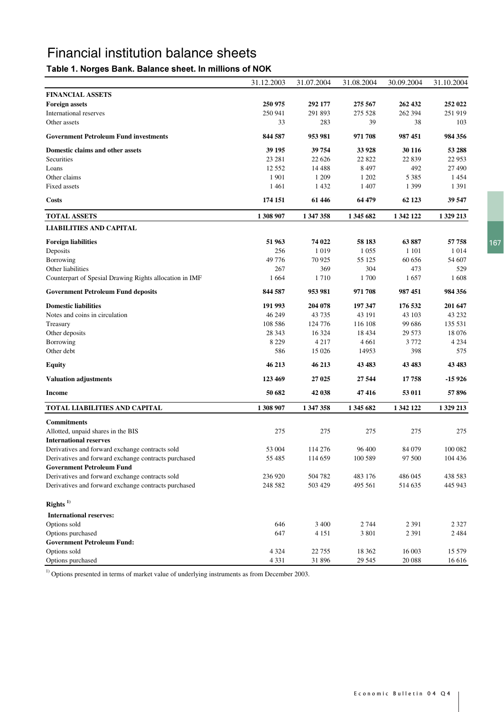# Financial institution balance sheets

# Table 1. Norges Bank. Balance sheet. In millions of NOK

|                                                         | 31.12.2003 | 31.07.2004 | 31.08.2004 | 30.09.2004 | 31.10.2004 |
|---------------------------------------------------------|------------|------------|------------|------------|------------|
| <b>FINANCIAL ASSETS</b>                                 |            |            |            |            |            |
| <b>Foreign assets</b>                                   | 250 975    | 292 177    | 275 567    | 262 432    | 252 022    |
| International reserves                                  | 250 941    | 291 893    | 275 528    | 262 394    | 251 919    |
| Other assets                                            | 33         | 283        | 39         | 38         | 103        |
| <b>Government Petroleum Fund investments</b>            | 844 587    | 953 981    | 971 708    | 987 451    | 984 356    |
| Domestic claims and other assets                        | 39 195     | 39 754     | 33 928     | 30 116     | 53 288     |
| Securities                                              | 23 28 1    | 22 6 26    | 22 822     | 22 8 39    | 22 953     |
| Loans                                                   | 12 5 5 2   | 14 4 8 8   | 8 4 9 7    | 492        | 27 490     |
| Other claims                                            | 1 9 0 1    | 1 209      | 1 202      | 5 3 8 5    | 1454       |
| Fixed assets                                            | 1461       | 1432       | 1 407      | 1 3 9 9    | 1 3 9 1    |
| <b>Costs</b>                                            | 174 151    | 61 446     | 64 479     | 62 123     | 39 547     |
| <b>TOTAL ASSETS</b>                                     | 1 308 907  | 1 347 358  | 1 345 682  | 1 342 122  | 1 329 213  |
| <b>LIABILITIES AND CAPITAL</b>                          |            |            |            |            |            |
| <b>Foreign liabilities</b>                              | 51 963     | 74 022     | 58 183     | 63887      | 57 758     |
| Deposits                                                | 256        | 1 0 1 9    | 1 0 5 5    | 1 1 0 1    | 1014       |
| Borrowing                                               | 49 776     | 70925      | 55 125     | 60 656     | 54 607     |
| Other liabilities                                       | 267        | 369        | 304        | 473        | 529        |
| Counterpart of Spesial Drawing Rights allocation in IMF | 1 6 6 4    | 1710       | 1700       | 1657       | 1608       |
| <b>Government Petroleum Fund deposits</b>               | 844 587    | 953 981    | 971 708    | 987 451    | 984 356    |
| <b>Domestic liabilities</b>                             | 191 993    | 204 078    | 197 347    | 176 532    | 201 647    |
| Notes and coins in circulation                          | 46 249     | 43 735     | 43 191     | 43 103     | 43 232     |
| Treasury                                                | 108 586    | 124 776    | 116 108    | 99 68 6    | 135 531    |
| Other deposits                                          | 28 3 43    | 16 3 24    | 18 4 34    | 29 573     | 18 076     |
| Borrowing                                               | 8 2 2 9    | 4 2 1 7    | 4 6 6 1    | 3772       | 4 2 3 4    |
| Other debt                                              | 586        | 15 0 26    | 14953      | 398        | 575        |
| <b>Equity</b>                                           | 46 213     | 46 213     | 43 483     | 43 483     | 43 483     |
| <b>Valuation adjustments</b>                            | 123 469    | 27 025     | 27 544     | 17758      | $-15926$   |
| <b>Income</b>                                           | 50 682     | 42 038     | 47416      | 53 011     | 57896      |
| <b>TOTAL LIABILITIES AND CAPITAL</b>                    | 1 308 907  | 1 347 358  | 1 345 682  | 1 342 122  | 1 329 213  |
| <b>Commitments</b>                                      |            |            |            |            |            |
| Allotted, unpaid shares in the BIS                      | 275        | 275        | 275        | 275        | 275        |
| <b>International reserves</b>                           |            |            |            |            |            |
| Derivatives and forward exchange contracts sold         | 53 004     | 114 276    | 96 400     | 84 079     | 100 082    |
| Derivatives and forward exchange contracts purchased    | 55 485     | 114 659    | 100 589    | 97 500     | 104 436    |
| <b>Government Petroleum Fund</b>                        |            |            |            |            |            |
| Derivatives and forward exchange contracts sold         | 236 920    | 504 782    | 483 176    | 486 045    | 438 583    |
| Derivatives and forward exchange contracts purchased    | 248 582    | 503 429    | 495 561    | 514 635    | 445 943    |
| Rights $^{1)}$                                          |            |            |            |            |            |
| <b>International reserves:</b>                          |            |            |            |            |            |
| Options sold                                            | 646        | 3 4 0 0    | 2 744      | 2 3 9 1    | $2\;327$   |
| Options purchased                                       | 647        | 4 1 5 1    | 3 8 0 1    | 2 3 9 1    | 2484       |
| <b>Government Petroleum Fund:</b>                       |            |            |            |            |            |
| Options sold                                            | 4 3 2 4    | 22 755     | 18 3 6 2   | 16 003     | 15 579     |
| Options purchased                                       | 4 3 3 1    | 31 896     | 29 5 45    | 20 088     | 16 616     |

 $1)$  Options presented in terms of market value of underlying instruments as from December 2003.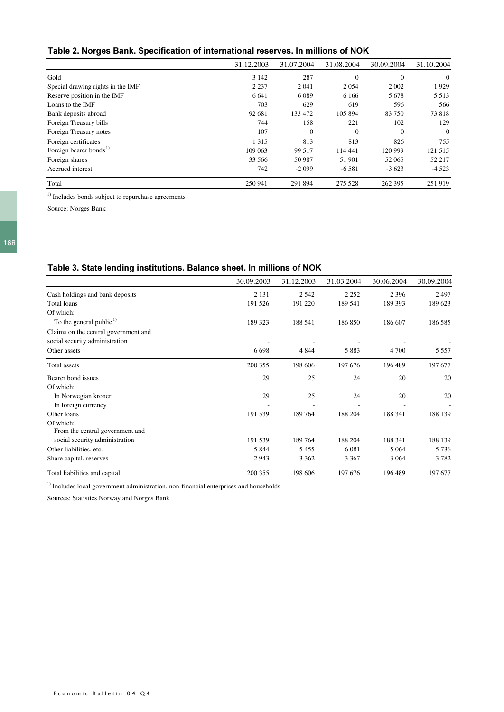| Table 2. Norges Bank. Specification of international reserves. In millions of NOK |  |  |
|-----------------------------------------------------------------------------------|--|--|
|                                                                                   |  |  |

|                                    | 31.12.2003 | 31.07.2004 | 31.08.2004 | 30.09.2004 | 31.10.2004     |
|------------------------------------|------------|------------|------------|------------|----------------|
| Gold                               | 3 1 4 2    | 287        | $\Omega$   | $\Omega$   | $\Omega$       |
| Special drawing rights in the IMF  | 2 2 3 7    | 2 0 4 1    | 2 0 5 4    | 2 0 0 2    | 1929           |
| Reserve position in the IMF        | 6 6 4 1    | 6 0 8 9    | 6 1 6 6    | 5678       | 5 5 1 3        |
| Loans to the IMF                   | 703        | 629        | 619        | 596        | 566            |
| Bank deposits abroad               | 92 681     | 133 472    | 105 894    | 83750      | 73818          |
| Foreign Treasury bills             | 744        | 158        | 221        | 102        | 129            |
| Foreign Treasury notes             | 107        | $\Omega$   | $\Omega$   | $\theta$   | $\overline{0}$ |
| Foreign certificates               | 1 3 1 5    | 813        | 813        | 826        | 755            |
| Foreign bearer bonds <sup>1)</sup> | 109 063    | 99 517     | 114 441    | 120 999    | 121 515        |
| Foreign shares                     | 33 566     | 50 987     | 51 901     | 52 065     | 52 217         |
| Accrued interest                   | 742        | $-2099$    | $-6581$    | $-3623$    | $-4523$        |
| Total                              | 250 941    | 291 894    | 275 528    | 262 395    | 251919         |

 $<sup>1)</sup>$  Includes bonds subject to repurchase agreements</sup>

Source: Norges Bank

### Table 3. State lending institutions. Balance sheet. In millions of NOK

|                                              | 30.09.2003 | 31.12.2003 | 31.03.2004 | 30.06.2004 | 30.09.2004 |
|----------------------------------------------|------------|------------|------------|------------|------------|
| Cash holdings and bank deposits              | 2 1 3 1    | 2 5 4 2    | 2 2 5 2    | 2 3 9 6    | 2497       |
| Total loans                                  | 191 526    | 191 220    | 189 541    | 189 393    | 189 623    |
| Of which:                                    |            |            |            |            |            |
| To the general public $^{1)}$                | 189 323    | 188 541    | 186 850    | 186 607    | 186 585    |
| Claims on the central government and         |            |            |            |            |            |
| social security administration               |            |            |            |            |            |
| Other assets                                 | 6698       | 4 8 4 4    | 5883       | 4 700      | 5 5 5 7    |
| Total assets                                 | 200 355    | 198 606    | 197 676    | 196 489    | 197 677    |
| Bearer bond issues                           | 29         | 25         | 24         | 20         | 20         |
| Of which:                                    |            |            |            |            |            |
| In Norwegian kroner                          | 29         | 25         | 24         | 20         | 20         |
| In foreign currency                          |            |            |            |            |            |
| Other loans                                  | 191 539    | 189764     | 188 204    | 188 341    | 188 139    |
| Of which:<br>From the central government and |            |            |            |            |            |
| social security administration               | 191 539    | 189764     | 188 204    | 188 341    | 188 139    |
| Other liabilities, etc.                      | 5 8 4 4    | 5 4 5 5    | 6 0 8 1    | 5 0 6 4    | 5736       |
| Share capital, reserves                      | 2943       | 3 3 6 2    | 3 3 6 7    | 3 0 6 4    | 3782       |
| Total liabilities and capital                | 200 355    | 198 606    | 197 676    | 196 489    | 197 677    |

 $<sup>1</sup>$  Includes local government administration, non-financial enterprises and households</sup>

Sources: Statistics Norway and Norges Bank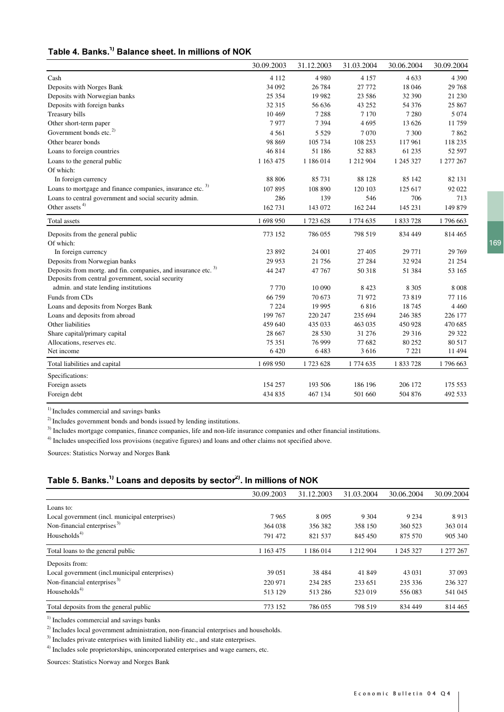## Table 4. Banks.<sup>1)</sup> Balance sheet. In millions of NOK

|                                                                           | 30.09.2003  | 31.12.2003 | 31.03.2004 | 30.06.2004 | 30.09.2004 |
|---------------------------------------------------------------------------|-------------|------------|------------|------------|------------|
| Cash                                                                      | 4 1 1 2     | 4 9 8 0    | 4 1 5 7    | 4633       | 4 3 9 0    |
| Deposits with Norges Bank                                                 | 34 092      | 26 784     | 27 772     | 18 04 6    | 29 768     |
| Deposits with Norwegian banks                                             | 25 354      | 19982      | 23 5 8 6   | 32 390     | 21 230     |
| Deposits with foreign banks                                               | 32 315      | 56 636     | 43 252     | 54 376     | 25 867     |
| Treasury bills                                                            | 10469       | 7 2 8 8    | 7 1 7 0    | 7 2 8 0    | 5 0 7 4    |
| Other short-term paper                                                    | 7977        | 7 3 9 4    | 4 6 9 5    | 13 6 26    | 11759      |
| Government bonds etc. <sup>2)</sup>                                       | 4 5 6 1     | 5 5 2 9    | 7070       | 7 300      | 7862       |
| Other bearer bonds                                                        | 98 869      | 105 734    | 108 253    | 117961     | 118 235    |
| Loans to foreign countries                                                | 46814       | 51 186     | 52 883     | 61 235     | 52 597     |
| Loans to the general public                                               | 1 1 63 4 75 | 1 186 014  | 1 212 904  | 1 245 327  | 1 277 267  |
| Of which:                                                                 |             |            |            |            |            |
| In foreign currency                                                       | 88 806      | 85 731     | 88 128     | 85 142     | 82 131     |
| Loans to mortgage and finance companies, insurance etc. <sup>3)</sup>     | 107 895     | 108 890    | 120 103    | 125 617    | 92 022     |
| Loans to central government and social security admin.                    | 286         | 139        | 546        | 706        | 713        |
| Other assets <sup>4)</sup>                                                | 162 731     | 143 072    | 162 244    | 145 231    | 149 879    |
| Total assets                                                              | 1698950     | 1723 628   | 1774635    | 1833728    | 1796 663   |
| Deposits from the general public                                          | 773 152     | 786 055    | 798 519    | 834 449    | 814 465    |
| Of which:                                                                 |             |            |            |            |            |
| In foreign currency                                                       | 23 892      | 24 001     | 27 405     | 29 771     | 29 769     |
| Deposits from Norwegian banks                                             | 29 9 53     | 21 756     | 27 284     | 32 9 24    | 21 254     |
| Deposits from mortg. and fin. companies, and insurance etc. <sup>3)</sup> | 44 247      | 47 767     | 50 318     | 51 384     | 53 165     |
| Deposits from central government, social security                         |             |            |            |            |            |
| admin. and state lending institutions                                     | 7770        | 10 090     | 8 4 2 3    | 8 3 0 5    | 8 0 0 8    |
| Funds from CDs                                                            | 66759       | 70 673     | 71972      | 73819      | 77 116     |
| Loans and deposits from Norges Bank                                       | 7 2 2 4     | 19 9 95    | 6816       | 18745      | 4 4 6 0    |
| Loans and deposits from abroad                                            | 199 767     | 220 247    | 235 694    | 246 385    | 226 177    |
| Other liabilities                                                         | 459 640     | 435 033    | 463 035    | 450 928    | 470 685    |
| Share capital/primary capital                                             | 28 667      | 28 530     | 31 276     | 29 316     | 29 3 22    |
| Allocations, reserves etc.                                                | 75 351      | 76 999     | 77 682     | 80 25 2    | 80 517     |
| Net income                                                                | 6420        | 6483       | 3616       | 7 2 2 1    | 11 494     |
| Total liabilities and capital                                             | 1698950     | 1723 628   | 1774 635   | 1 833 728  | 1796 663   |
| Specifications:                                                           |             |            |            |            |            |
| Foreign assets                                                            | 154 257     | 193 506    | 186 196    | 206 172    | 175 553    |
| Foreign debt                                                              | 434 835     | 467 134    | 501 660    | 504 876    | 492 533    |

 $<sup>1</sup>$  Includes commercial and savings banks</sup>

<sup>2)</sup> Includes government bonds and bonds issued by lending institutions.

<sup>3)</sup> Includes mortgage companies, finance companies, life and non-life insurance companies and other financial institutions.

4) Includes unspecified loss provisions (negative figures) and loans and other claims not specified above.

Sources: Statistics Norway and Norges Bank

## Table 5. Banks. $^{\rm 1)}$  Loans and deposits by sector $^{\rm 2)}$ . In millions of NOK

|                                                | 30.09.2003 | 31.12.2003 | 31.03.2004 | 30.06.2004 | 30.09.2004 |
|------------------------------------------------|------------|------------|------------|------------|------------|
| Loans to:                                      |            |            |            |            |            |
| Local government (incl. municipal enterprises) | 7965       | 8 0 9 5    | 9 3 0 4    | 9 2 3 4    | 8913       |
| Non-financial enterprises <sup>3)</sup>        | 364 038    | 356 382    | 358 150    | 360 523    | 363 014    |
| Households $4$                                 | 791 472    | 821 537    | 845 450    | 875 570    | 905 340    |
| Total loans to the general public              | 1 163 475  | 1 186 014  | 1 212 904  | 1 245 327  | 1 277 267  |
| Deposits from:                                 |            |            |            |            |            |
| Local government (incl.municipal enterprises)  | 39 051     | 38 4 84    | 41 849     | 43 031     | 37 093     |
| Non-financial enterprises <sup>3)</sup>        | 220 971    | 234 285    | 233 651    | 235 336    | 236 327    |
| Households $4)$                                | 513 129    | 513 286    | 523 019    | 556 083    | 541 045    |
| Total deposits from the general public         | 773 152    | 786 055    | 798 519    | 834 449    | 814 465    |

 $<sup>1)</sup>$  Includes commercial and savings banks</sup>

<sup>2)</sup> Includes local government administration, non-financial enterprises and households.

<sup>3)</sup> Includes private enterprises with limited liability etc., and state enterprises.

4) Includes sole proprietorships, unincorporated enterprises and wage earners, etc.

Sources: Statistics Norway and Norges Bank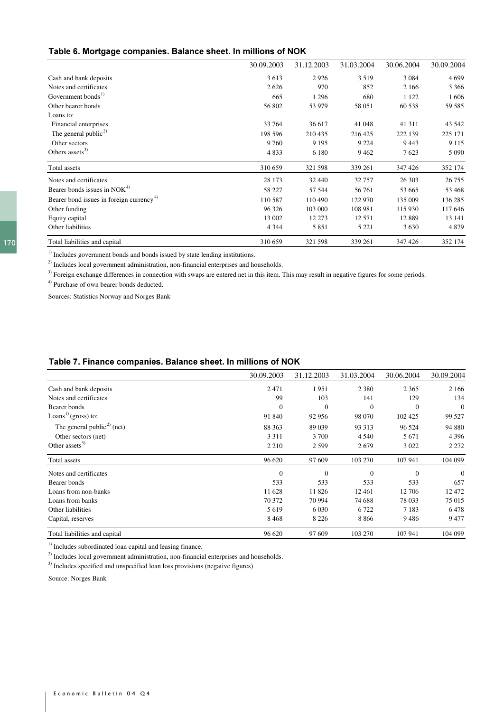### Table 6. Mortgage companies. Balance sheet. In millions of NOK

|                                                      | 30.09.2003 | 31.12.2003 | 31.03.2004 | 30.06.2004 | 30.09.2004 |
|------------------------------------------------------|------------|------------|------------|------------|------------|
| Cash and bank deposits                               | 3613       | 2926       | 3519       | 3 0 8 4    | 4699       |
| Notes and certificates                               | 2626       | 970        | 852        | 2 1 6 6    | 3 3 6 6    |
| Government bonds <sup>1)</sup>                       | 665        | 1 2 9 6    | 680        | 1 1 2 2    | 1606       |
| Other bearer bonds                                   | 56 802     | 53 979     | 58 051     | 60 538     | 59 585     |
| Loans to:                                            |            |            |            |            |            |
| Financial enterprises                                | 33 764     | 36 617     | 41 048     | 41 311     | 43 542     |
| The general public <sup>2)</sup>                     | 198 596    | 210 435    | 216 425    | 222 139    | 225 171    |
| Other sectors                                        | 9760       | 9 1 9 5    | 9 2 2 4    | 9443       | 9 1 1 5    |
| Others assets $^{3)}$                                | 4833       | 6 1 8 0    | 9462       | 7623       | 5 0 9 0    |
| Total assets                                         | 310 659    | 321 598    | 339 261    | 347 426    | 352 174    |
| Notes and certificates                               | 28 173     | 32 440     | 32757      | 26 30 3    | 26 755     |
| Bearer bonds issues in NOK <sup>4)</sup>             | 58 227     | 57 544     | 56 761     | 53 665     | 53 468     |
| Bearer bond issues in foreign currency <sup>4)</sup> | 110 587    | 110 490    | 122 970    | 135 009    | 136 285    |
| Other funding                                        | 96 326     | 103 000    | 108 981    | 115 930    | 117 646    |
| Equity capital                                       | 13 002     | 12 273     | 12 571     | 12889      | 13 14 1    |
| Other liabilities                                    | 4 3 4 4    | 5 8 5 1    | 5 2 2 1    | 3630       | 4879       |
| Total liabilities and capital                        | 310 659    | 321 598    | 339 261    | 347 426    | 352 174    |

<sup>1)</sup> Includes government bonds and bonds issued by state lending institutions.

<sup>2)</sup> Includes local government administration, non-financial enterprises and households.

<sup>3)</sup> Foreign exchange differences in connection with swaps are entered net in this item. This may result in negative figures for some periods.

4) Purchase of own bearer bonds deducted.

Sources: Statistics Norway and Norges Bank

#### Table 7. Finance companies. Balance sheet. In millions of NOK

|                                        | 30.09.2003 | 31.12.2003 | 31.03.2004 | 30.06.2004     | 30.09.2004 |
|----------------------------------------|------------|------------|------------|----------------|------------|
| Cash and bank deposits                 | 2471       | 1951       | 2 3 8 0    | 2 3 6 5        | 2 1 6 6    |
| Notes and certificates                 | 99         | 103        | 141        | 129            | 134        |
| Bearer bonds                           | $\Omega$   | $\Omega$   | $\Omega$   | $\theta$       | $\theta$   |
| Loans <sup>1)</sup> (gross) to:        | 91 840     | 92 956     | 98 070     | 102 425        | 99 527     |
| The general public <sup>2)</sup> (net) | 88 363     | 89 039     | 93 3 13    | 96 524         | 94 880     |
| Other sectors (net)                    | 3 3 1 1    | 3 700      | 4 5 4 0    | 5671           | 4 3 9 6    |
| Other assets $^{3)}$                   | 2 2 1 0    | 2 5 9 9    | 2679       | 3 0 2 2        | 2 2 7 2    |
| Total assets                           | 96 620     | 97 609     | 103 270    | 107 941        | 104 099    |
| Notes and certificates                 | $\Omega$   | $\Omega$   | $\Omega$   | $\overline{0}$ | $\Omega$   |
| Bearer bonds                           | 533        | 533        | 533        | 533            | 657        |
| Loans from non-banks                   | 11 628     | 11826      | 12461      | 12 706         | 12 472     |
| Loans from banks                       | 70 372     | 70 994     | 74 688     | 78 033         | 75 015     |
| Other liabilities                      | 5619       | 6 0 3 0    | 6 7 2 2    | 7 1 8 3        | 6478       |
| Capital, reserves                      | 8468       | 8 2 2 6    | 8866       | 9486           | 9477       |
| Total liabilities and capital          | 96 620     | 97 609     | 103 270    | 107 941        | 104 099    |

 $<sup>1)</sup>$  Includes subordinated loan capital and leasing finance.</sup>

<sup>2)</sup> Includes local government administration, non-financial enterprises and households.

<sup>3)</sup> Includes specified and unspecified loan loss provisions (negative figures)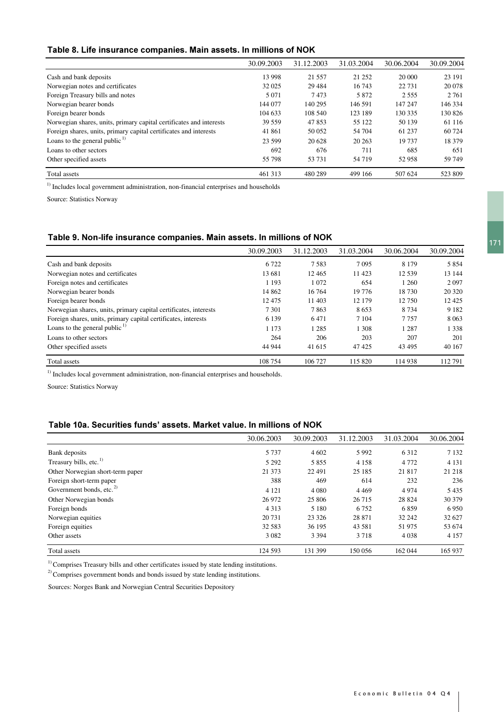### Table 8. Life insurance companies. Main assets. In millions of NOK

|                                                                     | 30.09.2003 | 31.12.2003 | 31.03.2004 | 30.06.2004 | 30.09.2004 |
|---------------------------------------------------------------------|------------|------------|------------|------------|------------|
| Cash and bank deposits                                              | 13 998     | 21 5 5 7   | 21 25 2    | 20 000     | 23 191     |
| Norwegian notes and certificates                                    | 32 0 25    | 29 4 8 4   | 16 743     | 22 7 31    | 20 078     |
| Foreign Treasury bills and notes                                    | 5 0 7 1    | 7473       | 5 8 7 2    | 2 5 5 5    | 2 7 6 1    |
| Norwegian bearer bonds                                              | 144 077    | 140 295    | 146.591    | 147 247    | 146 334    |
| Foreign bearer bonds                                                | 104 633    | 108 540    | 123 189    | 130 335    | 130 826    |
| Norwegian shares, units, primary capital certificates and interests | 39 559     | 47853      | 55 122     | 50 139     | 61 116     |
| Foreign shares, units, primary capital certificates and interests   | 41 861     | 50 052     | 54 704     | 61 237     | 60 724     |
| Loans to the general public $1$                                     | 23 5 9 9   | 20 628     | 20 263     | 19 737     | 18 379     |
| Loans to other sectors                                              | 692        | 676        | 711        | 685        | 651        |
| Other specified assets                                              | 55 798     | 53 731     | 54 7 19    | 52958      | 59 749     |
| Total assets                                                        | 461 313    | 480 289    | 499 166    | 507 624    | 523 809    |

<sup>1)</sup> Includes local government administration, non-financial enterprises and households

Source: Statistics Norway

# Table 9. Non-life insurance companies. Main assets. In millions of NOK **Analylie 171** 171

|                                                                  | 30.09.2003 | 31.12.2003 | 31.03.2004 | 30.06.2004 | 30.09.2004 |
|------------------------------------------------------------------|------------|------------|------------|------------|------------|
| Cash and bank deposits                                           | 6 7 2 2    | 7.583      | 7 0 9 5    | 8 1 7 9    | 5 8 5 4    |
| Norwegian notes and certificates                                 | 13 681     | 12465      | 11 423     | 12 5 39    | 13 144     |
| Foreign notes and certificates                                   | 1 1 9 3    | 1 0 7 2    | 654        | 1 260      | 2097       |
| Norwegian bearer bonds                                           | 14 8 62    | 16 764     | 19 776     | 18 730     | 20 320     |
| Foreign bearer bonds                                             | 12475      | 11 403     | 12 179     | 12 750     | 12 4 25    |
| Norwegian shares, units, primary capital certificates, interests | 7 3 0 1    | 7863       | 8653       | 8 7 3 4    | 9 1 8 2    |
| Foreign shares, units, primary capital certificates, interests   | 6 1 3 9    | 6471       | 7 1 0 4    | 7 7 5 7    | 8 0 6 3    |
| Loans to the general public $\binom{1}{1}$                       | 1 1 7 3    | 1 2 8 5    | 1 3 0 8    | 1 2 8 7    | 1 3 3 8    |
| Loans to other sectors                                           | 264        | 206        | 203        | 207        | 201        |
| Other specified assets                                           | 44 944     | 41 615     | 47425      | 43 4 95    | 40 167     |
| Total assets                                                     | 108 754    | 106 727    | 115 820    | 114 938    | 112791     |

 $1)$  Includes local government administration, non-financial enterprises and households.

Source: Statistics Norway

### Table 10a. Securities funds' assets. Market value. In millions of NOK

|                                      | 30.06.2003 | 30.09.2003 | 31.12.2003 | 31.03.2004 | 30.06.2004 |
|--------------------------------------|------------|------------|------------|------------|------------|
| Bank deposits                        | 5 7 3 7    | 4 6 0 2    | 5992       | 6 3 1 2    | 7 1 3 2    |
| Treasury bills, etc. <sup>1)</sup>   | 5 2 9 2    | 5855       | 4 1 5 8    | 4 7 7 2    | 4 1 3 1    |
| Other Norwegian short-term paper     | 21 373     | 22 491     | 25 185     | 21817      | 21 218     |
| Foreign short-term paper             | 388        | 469        | 614        | 232        | 236        |
| Government bonds, etc. <sup>2)</sup> | 4 1 2 1    | 4 0 8 0    | 4 4 6 9    | 4974       | 5435       |
| Other Norwegian bonds                | 26 972     | 25 806     | 26 715     | 28 8 24    | 30 379     |
| Foreign bonds                        | 4 3 1 3    | 5 1 8 0    | 6 7 5 2    | 6859       | 6950       |
| Norwegian equities                   | 20 731     | 23 3 26    | 28 871     | 32 24 2    | 32 627     |
| Foreign equities                     | 32 583     | 36 195     | 43 5 81    | 51 975     | 53 674     |
| Other assets                         | 3 0 8 2    | 3 3 9 4    | 3 7 1 8    | 4 0 38     | 4 1 5 7    |
| Total assets                         | 124 593    | 131 399    | 150 056    | 162 044    | 165 937    |

<sup>1)</sup> Comprises Treasury bills and other certificates issued by state lending institutions.

<sup>2)</sup> Comprises government bonds and bonds issued by state lending institutions.

Sources: Norges Bank and Norwegian Central Securities Depository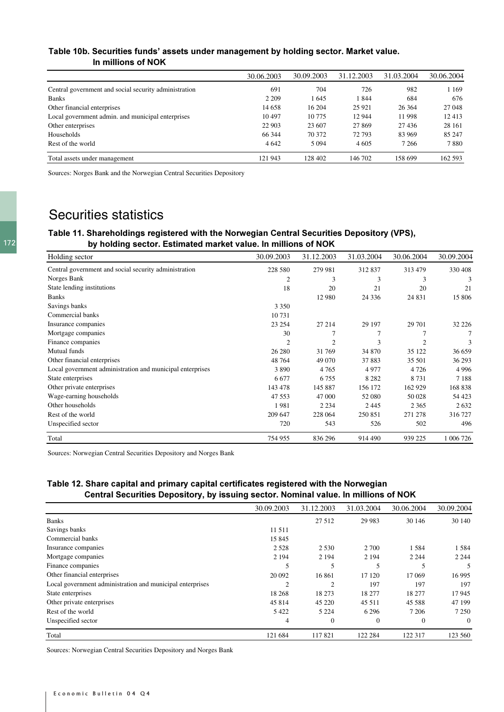### Table 10b. Securities funds' assets under management by holding sector. Market value. In millions of NOK

|                                                       | 30.06.2003 | 30.09.2003 | 31.12.2003 | 31.03.2004 | 30.06.2004 |
|-------------------------------------------------------|------------|------------|------------|------------|------------|
| Central government and social security administration | 691        | 704        | 726        | 982        | 1 1 6 9    |
| <b>Banks</b>                                          | 2 2 0 9    | 1 645      | 1844       | 684        | 676        |
| Other financial enterprises                           | 14 658     | 16 204     | 25 9 21    | 26 3 64    | 27 048     |
| Local government admin. and municipal enterprises     | 10 497     | 10 775     | 12 944     | 11998      | 12413      |
| Other enterprises                                     | 22 903     | 23 607     | 27 869     | 27 4 36    | 28 16 1    |
| Households                                            | 66 344     | 70 372     | 72 793     | 83 969     | 85 247     |
| Rest of the world                                     | 4 6 4 2    | 5 0 9 4    | 4 605      | 7 2 6 6    | 7880       |
| Total assets under management                         | 121 943    | 128 402    | 146 702    | 158 699    | 162 593    |

Sources: Norges Bank and the Norwegian Central Securities Depository

# Securities statistics

## Table 11. Shareholdings registered with the Norwegian Central Securities Depository (VPS), by holding sector. Estimated market value. In millions of NOK

| Holding sector                                            | 30.09.2003     | 31.12.2003 | 31.03.2004 | 30.06.2004     | 30.09.2004 |
|-----------------------------------------------------------|----------------|------------|------------|----------------|------------|
| Central government and social security administration     | 228 580        | 279 981    | 312837     | 313 479        | 330 408    |
| Norges Bank                                               | $\overline{2}$ | 3          | 3          | 3              | 3          |
| State lending institutions                                | 18             | 20         | 21         | 20             | 21         |
| <b>Banks</b>                                              |                | 12 980     | 24 3 36    | 24 8 31        | 15 806     |
| Savings banks                                             | 3 3 5 0        |            |            |                |            |
| Commercial banks                                          | 10731          |            |            |                |            |
| Insurance companies                                       | 23 254         | 27 214     | 29 197     | 29 701         | 32 2 2 6   |
| Mortgage companies                                        | 30             |            |            |                | 7          |
| Finance companies                                         | 2              | 2          | 3          | $\overline{c}$ | 3          |
| Mutual funds                                              | 26 280         | 31769      | 34 870     | 35 122         | 36 659     |
| Other financial enterprises                               | 48764          | 49 070     | 37 883     | 35 501         | 36 293     |
| Local government administration and municipal enterprises | 3 8 9 0        | 4765       | 4977       | 4726           | 4996       |
| State enterprises                                         | 6 6 7 7        | 6 7 5 5    | 8 2 8 2    | 8731           | 7188       |
| Other private enterprises                                 | 143 478        | 145 887    | 156 172    | 162 929        | 168 838    |
| Wage-earning households                                   | 47 553         | 47 000     | 52 080     | 50 028         | 54 423     |
| Other households                                          | 1981           | 2 2 3 4    | 2445       | 2 3 6 5        | 2632       |
| Rest of the world                                         | 209 647        | 228 064    | 250 851    | 271 278        | 316 727    |
| Unspecified sector                                        | 720            | 543        | 526        | 502            | 496        |
| Total                                                     | 754 955        | 836 296    | 914 490    | 939 225        | 1 006 726  |

Sources: Norwegian Central Securities Depository and Norges Bank

## Table 12. Share capital and primary capital certificates registered with the Norwegian Central Securities Depository, by issuing sector. Nominal value. In millions of NOK

|                                                           | 30.09.2003     | 31.12.2003   | 31.03.2004   | 30.06.2004 | 30.09.2004 |
|-----------------------------------------------------------|----------------|--------------|--------------|------------|------------|
| <b>Banks</b>                                              |                | 27 5 12      | 29 9 83      | 30 146     | 30 140     |
| Savings banks                                             | 11 511         |              |              |            |            |
| Commercial banks                                          | 15 845         |              |              |            |            |
| Insurance companies                                       | 2 5 2 8        | 2 5 3 0      | 2 700        | 1584       | 1584       |
| Mortgage companies                                        | 2 1 9 4        | 2 1 9 4      | 2 1 9 4      | 2 2 4 4    | 2 2 4 4    |
| Finance companies                                         | 5              | 5            | 5            | 5          |            |
| Other financial enterprises                               | 20 092         | 16861        | 17 120       | 17 069     | 16 9 95    |
| Local government administration and municipal enterprises | $\overline{2}$ | 2            | 197          | 197        | 197        |
| State enterprises                                         | 18 26 8        | 18 273       | 18 277       | 18 277     | 17945      |
| Other private enterprises                                 | 45 814         | 45 220       | 45 5 11      | 45 5 88    | 47 199     |
| Rest of the world                                         | 5 4 2 2        | 5 2 2 4      | 6 2 9 6      | 7 2 0 6    | 7 2 5 0    |
| Unspecified sector                                        | 4              | $\mathbf{0}$ | $\mathbf{0}$ | $\theta$   | $\theta$   |
| Total                                                     | 121 684        | 117821       | 122 284      | 122 317    | 123 560    |

Sources: Norwegian Central Securities Depository and Norges Bank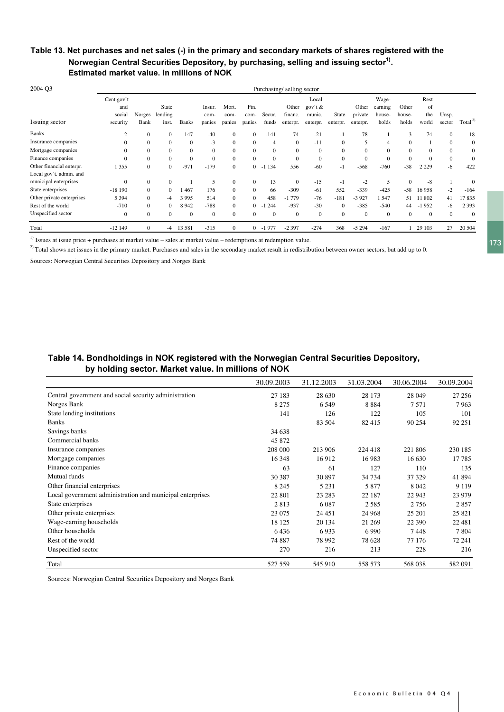# Table 13. Net purchases and net sales (-) in the primary and secondary markets of shares registered with the Norwegian Central Securities Depository, by purchasing, selling and issuing sector<sup>1)</sup>. Estimated market value. In millions of NOK

| 2004 Q3                   |              |                |              |              |              |              |              |             | Purchasing/selling sector |              |              |              |              |          |          |                |                     |
|---------------------------|--------------|----------------|--------------|--------------|--------------|--------------|--------------|-------------|---------------------------|--------------|--------------|--------------|--------------|----------|----------|----------------|---------------------|
|                           | Cent.gov't   |                |              |              |              |              |              |             |                           | Local        |              |              | Wage-        |          | Rest     |                |                     |
|                           | and          |                | <b>State</b> |              | Insur.       | Mort.        | Fin.         |             | Other                     | gov't &      |              | Other        | earning      | Other    | of       |                |                     |
|                           | social       | Norges         | lending      |              | com-         | com-         | com-         | Secur.      | financ.                   | munic.       | State        | private      | house-       | house-   | the      | Unsp.          |                     |
| Issuing sector            | security     | Bank           | inst.        | <b>Banks</b> | panies       | panies       | panies       | funds       | enterpr.                  | enterpr.     | enterpr.     | enterpr.     | holds        | holds    | world    | sector         | Total <sup>2)</sup> |
| <b>Banks</b>              | $\sim$       | 0              | $\Omega$     | 147          | $-40$        | $\mathbf{0}$ | $\Omega$     | $-141$      | 74                        | $-21$        | $-1$         | $-78$        |              | 3        | 74       | $\overline{0}$ | 18                  |
| Insurance companies       | $\Omega$     | $\Omega$       | $\Omega$     | $\Omega$     | $-3$         | $\mathbf{0}$ | $\Omega$     | 4           | $\mathbf{0}$              | $-11$        | $\mathbf{0}$ | 5            | 4            | $\Omega$ |          | $\mathbf{0}$   | $\mathbf{0}$        |
| Mortgage companies        | $\Omega$     | $\Omega$       | $\Omega$     | $\Omega$     | $\mathbf{0}$ | $\mathbf{0}$ | $\Omega$     | $\Omega$    | $\mathbf{0}$              | $\mathbf{0}$ | $\mathbf{0}$ | $\mathbf{0}$ | $\Omega$     | $\Omega$ |          | $\mathbf{0}$   | $\mathbf{0}$        |
| Finance companies         | $\Omega$     | $\Omega$       | $\Omega$     | $\Omega$     | $\Omega$     | $\mathbf{0}$ | $\Omega$     | $\Omega$    | $\Omega$                  | $\mathbf{0}$ | $\mathbf{0}$ | $\mathbf{0}$ | $\Omega$     | $\Omega$ | $\Omega$ | $\theta$       | $\overline{0}$      |
| Other financial enterpr.  | 355          | $\Omega$       | $\Omega$     | $-971$       | $-179$       | $\mathbf{0}$ | $\Omega$     | 134<br>-1   | 556                       | $-60$        | $-1$         | $-568$       | $-760$       | $-38$    | 2 2 2 9  | -6             | 422                 |
| Local gov't. admin. and   |              |                |              |              |              |              |              |             |                           |              |              |              |              |          |          |                |                     |
| municipal enterprises     | $\Omega$     | $\Omega$       | $\Omega$     |              |              | $\mathbf{0}$ | $\Omega$     | 13          | $\Omega$                  | $-15$        | $-1$         | $-2$         |              | $\Omega$ | $-8$     |                | $\Omega$            |
| State enterprises         | $-18190$     | $\overline{0}$ | $\Omega$     | 467          | 176          | $\mathbf{0}$ | $\Omega$     | 66          | $-309$                    | $-61$        | 552          | $-339$       | $-425$       | $-58$    | 16958    | $-2$           | $-164$              |
| Other private enterprises | 5 3 9 4      | $\Omega$       | -4           | 3 9 9 5      | 514          | $\mathbf{0}$ | $\Omega$     | 458         | $-1779$                   | $-76$        | $-181$       | $-3927$      | 1547         | 51       | 11 802   | 41             | 17835               |
| Rest of the world         | $-710$       | $\mathbf{0}$   | $\Omega$     | 8942         | $-788$       | $\mathbf{0}$ | $\Omega$     | 244<br>$-1$ | $-937$                    | $-30$        | $\mathbf{0}$ | $-385$       | $-540$       | 44       | $-1952$  | -6             | 2 3 9 3             |
| Unspecified sector        | $\mathbf{0}$ | $\mathbf{0}$   | $\Omega$     | $\Omega$     | $\mathbf{0}$ | $\mathbf{0}$ | $\Omega$     | $\Omega$    | $\mathbf{0}$              | $\mathbf{0}$ | $\mathbf{0}$ | $\mathbf{0}$ | $\mathbf{0}$ | $\Omega$ | $\Omega$ | $\mathbf{0}$   | $\Omega$            |
| Total                     | $-12149$     | $\mathbf{0}$   | -4           | 13 581       | $-315$       | $\mathbf{0}$ | $\mathbf{0}$ | $-1977$     | $-2397$                   | $-274$       | 368          | $-5294$      | $-167$       |          | 29 10 3  | 27             | 20 504              |

<sup>1)</sup> Issues at issue price + purchases at market value – sales at market value – redemptions at redemption value.

 $^{2)}$  Total shows net issues in the primary market. Purchases and sales in the secondary market result in redistribution between owner sectors, but add up to 0.

Sources: Norwegian Central Securities Depository and Norges Bank

# Table 14. Bondholdings in NOK registered with the Norwegian Central Securities Depository, by holding sector. Market value. In millions of NOK

|                                                           | 30.09.2003 | 31.12.2003 | 31.03.2004 | 30.06.2004 | 30.09.2004 |
|-----------------------------------------------------------|------------|------------|------------|------------|------------|
| Central government and social security administration     | 27 183     | 28 630     | 28 173     | 28 049     | 27 25 6    |
| Norges Bank                                               | 8 2 7 5    | 6549       | 8884       | 7571       | 7963       |
| State lending institutions                                | 141        | 126        | 122        | 105        | 101        |
| <b>Banks</b>                                              |            | 83 504     | 82 415     | 90 254     | 92 251     |
| Savings banks                                             | 34 638     |            |            |            |            |
| Commercial banks                                          | 45 872     |            |            |            |            |
| Insurance companies                                       | 208 000    | 213 906    | 224 418    | 221 806    | 230 185    |
| Mortgage companies                                        | 16 348     | 16912      | 16 983     | 16 630     | 17785      |
| Finance companies                                         | 63         | 61         | 127        | 110        | 135        |
| <b>Mutual</b> funds                                       | 30 387     | 30 897     | 34 7 34    | 37 329     | 41 894     |
| Other financial enterprises                               | 8 2 4 5    | 5 2 3 1    | 5877       | 8 0 4 2    | 9 1 1 9    |
| Local government administration and municipal enterprises | 22 801     | 23 28 3    | 22 187     | 22 943     | 23 9 79    |
| State enterprises                                         | 2813       | 6087       | 2585       | 2756       | 2857       |
| Other private enterprises                                 | 23 075     | 24 451     | 24 968     | 25 201     | 25 821     |
| Wage-earning households                                   | 18 125     | 20 134     | 21 269     | 22 390     | 22 481     |
| Other households                                          | 6436       | 6933       | 6990       | 7448       | 7804       |
| Rest of the world                                         | 74 887     | 78 992     | 78 628     | 77 176     | 72 241     |
| Unspecified sector                                        | 270        | 216        | 213        | 228        | 216        |
| Total                                                     | 527 559    | 545 910    | 558 573    | 568 038    | 582 091    |

Sources: Norwegian Central Securities Depository and Norges Bank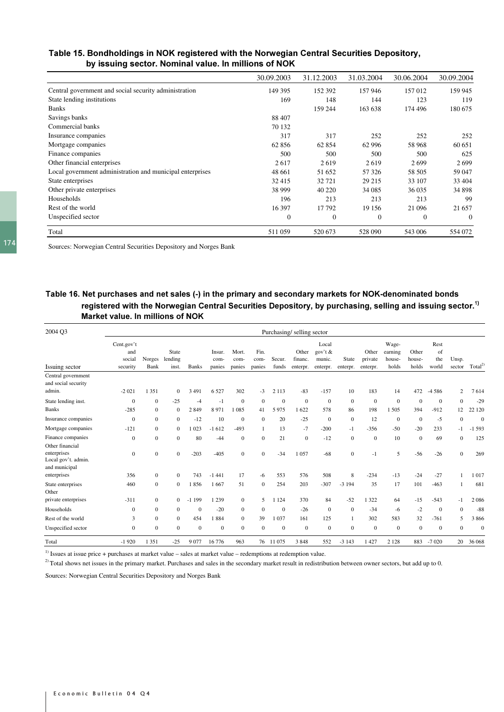### Table 15. Bondholdings in NOK registered with the Norwegian Central Securities Depository, by issuing sector. Nominal value. In millions of NOK

|                                                           | 30.09.2003   | 31.12.2003     | 31.03.2004 | 30.06.2004     | 30.09.2004 |
|-----------------------------------------------------------|--------------|----------------|------------|----------------|------------|
| Central government and social security administration     | 149 395      | 152 392        | 157 946    | 157 012        | 159 945    |
| State lending institutions                                | 169          | 148            | 144        | 123            | 119        |
| <b>Banks</b>                                              |              | 159 244        | 163 638    | 174 496        | 180 675    |
| Savings banks                                             | 88 407       |                |            |                |            |
| Commercial banks                                          | 70 132       |                |            |                |            |
| Insurance companies                                       | 317          | 317            | 252        | 252            | 252        |
| Mortgage companies                                        | 62 856       | 62 854         | 62 996     | 58 968         | 60 651     |
| Finance companies                                         | 500          | 500            | 500        | 500            | 625        |
| Other financial enterprises                               | 2617         | 2619           | 2619       | 2699           | 2699       |
| Local government administration and municipal enterprises | 48 661       | 51 652         | 57 326     | 58 505         | 59 047     |
| State enterprises                                         | 32 415       | 32721          | 29 215     | 33 107         | 33 404     |
| Other private enterprises                                 | 38 999       | 40 220         | 34 085     | 36 0 35        | 34 898     |
| Households                                                | 196          | 213            | 213        | 213            | 99         |
| Rest of the world                                         | 16 397       | 17792          | 19 15 6    | 21 096         | 21 657     |
| Unspecified sector                                        | $\mathbf{0}$ | $\overline{0}$ | $\theta$   | $\overline{0}$ | $\Omega$   |
| Total                                                     | 511059       | 520 673        | 528 090    | 543 006        | 554 072    |

Sources: Norwegian Central Securities Depository and Norges Bank

# Table 16. Net purchases and net sales (-) in the primary and secondary markets for NOK-denominated bonds registered with the Norwegian Central Securities Depository, by purchasing, selling and issuing sector. $^{\rm 1)}$ Market value. In millions of NOK

| 2004 Q3                                             |                    |                |                  |              |                |                |                |                 | Purchasing/selling sector |                    |                          |                     |                  |                 |              |                 |                    |
|-----------------------------------------------------|--------------------|----------------|------------------|--------------|----------------|----------------|----------------|-----------------|---------------------------|--------------------|--------------------------|---------------------|------------------|-----------------|--------------|-----------------|--------------------|
|                                                     | Cent.gov't<br>and  |                | State            |              | Insur.         | Mort.          | Fin.           |                 | Other                     | Local<br>gov't &   |                          | Other               | Wage-<br>earning | Other           | Rest<br>of   |                 |                    |
| Issuing sector                                      | social<br>security | Norges<br>Bank | lending<br>inst. | <b>Banks</b> | com-<br>panies | com-<br>panies | com-<br>panies | Secur.<br>funds | financ.<br>enterpr.       | munic.<br>enterpr. | <b>State</b><br>enterpr. | private<br>enterpr. | house-<br>holds  | house-<br>holds | the<br>world | Unsp.<br>sector | Total <sup>2</sup> |
| Central government<br>and social security<br>admin. | $-2021$            | 1 3 5 1        | $\mathbf{0}$     | 3 4 9 1      | 6 5 27         | 302            | $-3$           | 2 1 1 3         | $-83$                     | $-157$             | 10                       | 183                 | 14               | 472             | $-4586$      | 2               | 7614               |
| State lending inst.                                 | $\mathbf{0}$       | $\overline{0}$ | $-25$            | $-4$         | $-1$           | $\mathbf{0}$   | $\mathbf{0}$   | $\mathbf{0}$    | $\boldsymbol{0}$          | $\overline{0}$     | $\mathbf{0}$             | $\mathbf{0}$        | $\overline{0}$   | $\mathbf{0}$    | $\mathbf{0}$ | $\mathbf{0}$    | $-29$              |
| <b>Banks</b>                                        | $-285$             | $\overline{0}$ | $\mathbf{0}$     | 2849         | 8971           | 1 0 8 5        | 41             | 5975            | 1622                      | 578                | 86                       | 198                 | 1 5 0 5          | 394             | $-912$       | 12              | 22 120             |
| Insurance companies                                 | $\mathbf{0}$       | $\overline{0}$ | $\boldsymbol{0}$ | $-12$        | 10             | $\mathbf{0}$   | $\mathbf{0}$   | 20              | $-25$                     | $\theta$           | $\mathbf{0}$             | 12                  | $\mathbf{0}$     | $\overline{0}$  | $-5$         | $\mathbf{0}$    | $\theta$           |
| Mortgage companies                                  | $-121$             | 0              | $\mathbf{0}$     | 1023         | $-1612$        | $-493$         |                | 13              | $-7$                      | $-200$             | $-1$                     | $-356$              | $-50$            | $-20$           | 233          | -1              | $-1593$            |
| Finance companies<br>Other financial                | $\mathbf{0}$       | $\overline{0}$ | $\mathbf{0}$     | 80           | $-44$          | $\mathbf{0}$   | $\mathbf{0}$   | 21              | $\mathbf{0}$              | $-12$              | $\mathbf{0}$             | $\mathbf{0}$        | 10               | $\mathbf{0}$    | 69           | $\mathbf{0}$    | 125                |
| enterprises<br>Local gov't. admin.<br>and municipal | $\boldsymbol{0}$   | $\overline{0}$ | $\mathbf{0}$     | $-203$       | $-405$         | $\mathbf{0}$   | $\mathbf{0}$   | $-34$           | 1 0 5 7                   | $-68$              | $\mathbf{0}$             | $-1$                | 5                | $-56$           | $-26$        | $\Omega$        | 269                |
| enterprises                                         | 356                | $\overline{0}$ | $\mathbf{0}$     | 743          | $-1441$        | 17             | -6             | 553             | 576                       | 508                | 8                        | $-234$              | $-13$            | $-24$           | $-27$        |                 | 1017               |
| State enterprises<br>Other                          | 460                | $\overline{0}$ | $\mathbf{0}$     | 1856         | 1667           | 51             | $\mathbf{0}$   | 254             | 203                       | $-307$             | $-3194$                  | 35                  | 17               | 101             | $-463$       |                 | 681                |
| private enterprises                                 | $-311$             | 0              | $\mathbf{0}$     | $-1199$      | 1 2 3 9        | $\mathbf{0}$   | 5              | 1 1 2 4         | 370                       | 84                 | $-52$                    | 1 3 2 2             | 64               | $-15$           | $-543$       | -1              | 2086               |
| Households                                          | $\Omega$           | $\mathbf{0}$   | $\mathbf{0}$     | $\mathbf{0}$ | $-20$          | $\mathbf{0}$   | $\mathbf{0}$   | $\mathbf{0}$    | $-26$                     | $\mathbf{0}$       | $\mathbf{0}$             | $-34$               | -6               | $-2$            | $\Omega$     | $\mathbf{0}$    | $-88$              |
| Rest of the world                                   | 3                  | $\overline{0}$ | $\mathbf{0}$     | 454          | 1884           | $\mathbf{0}$   | 39             | 1 0 3 7         | 161                       | 125                | $\mathbf{1}$             | 302                 | 583              | 32              | $-761$       | 5               | 3866               |
| Unspecified sector                                  | $\mathbf{0}$       | $\overline{0}$ | $\mathbf{0}$     | $\mathbf{0}$ | $\mathbf{0}$   | $\mathbf{0}$   | $\mathbf{0}$   | $\mathbf{0}$    | $\mathbf{0}$              | $\mathbf{0}$       | $\mathbf{0}$             | $\mathbf{0}$        | $\overline{0}$   | $\mathbf{0}$    | $\mathbf{0}$ | $\mathbf{0}$    | $\Omega$           |
| Total                                               | $-1920$            | 1 3 5 1        | $-25$            | 9077         | 16 776         | 963            | 76             | 11 075          | 3848                      | 552                | $-3143$                  | 1427                | 2 1 2 8          | 883             | $-7020$      | 20              | 36 068             |

<sup>1)</sup> Issues at issue price + purchases at market value – sales at market value – redemptions at redemption value.

<sup>2)</sup> Total shows net issues in the primary market. Purchases and sales in the secondary market result in redistribution between owner sectors, but add up to 0.

Sources: Norwegian Central Securities Depository and Norges Bank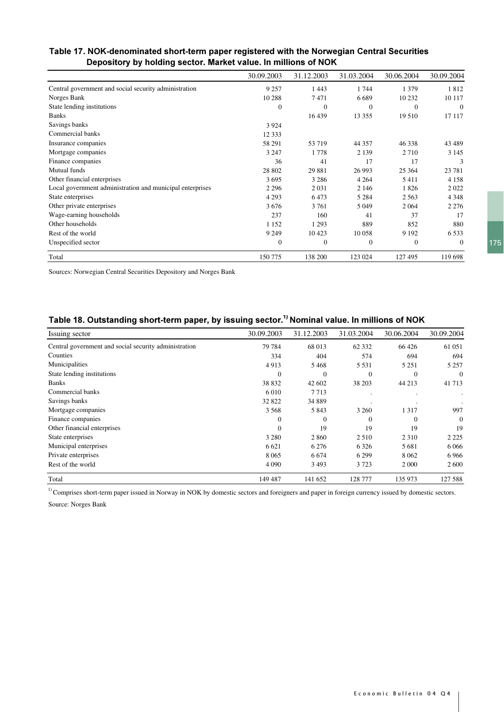### Table 17. NOK-denominated short-term paper registered with the Norwegian Central Securities Depository by holding sector. Market value. In millions of NOK

|                                                           | 30.09.2003   | 31.12.2003 | 31.03.2004 | 30.06.2004     | 30.09.2004     |
|-----------------------------------------------------------|--------------|------------|------------|----------------|----------------|
| Central government and social security administration     | 9 2 5 7      | 1 4 4 3    | 1 744      | 1 3 7 9        | 1812           |
| Norges Bank                                               | 10 288       | 7471       | 6689       | 10 232         | 10 117         |
| State lending institutions                                | $\mathbf{0}$ | $\theta$   | $\Omega$   | $\theta$       | $\overline{0}$ |
| <b>Banks</b>                                              |              | 16 439     | 13 3 5 5   | 19 510         | 17 117         |
| Savings banks                                             | 3 9 2 4      |            |            |                |                |
| Commercial banks                                          | 12 3 3 3     |            |            |                |                |
| Insurance companies                                       | 58 291       | 53 719     | 44 357     | 46 338         | 43 4 89        |
| Mortgage companies                                        | 3 2 4 7      | 1778       | 2 1 3 9    | 2 7 1 0        | 3 1 4 5        |
| Finance companies                                         | 36           | 41         | 17         | 17             | 3              |
| Mutual funds                                              | 28 802       | 29 881     | 26 9 93    | 25 3 64        | 23 781         |
| Other financial enterprises                               | 3695         | 3 2 8 6    | 4 2 6 4    | 5411           | 4 1 5 8        |
| Local government administration and municipal enterprises | 2 2 9 6      | 2 0 3 1    | 2 1 4 6    | 1826           | 2022           |
| State enterprises                                         | 4 2 9 3      | 6473       | 5 2 8 4    | 2 5 6 3        | 4 3 4 8        |
| Other private enterprises                                 | 3676         | 3 761      | 5 0 4 9    | 2 0 6 4        | 2 2 7 6        |
| Wage-earning households                                   | 237          | 160        | 41         | 37             | 17             |
| Other households                                          | 1 1 5 2      | 1 2 9 3    | 889        | 852            | 880            |
| Rest of the world                                         | 9 2 4 9      | 10 4 23    | 10 058     | 9 1 9 2        | 6 5 3 3        |
| Unspecified sector                                        | $\theta$     | $\theta$   | $\theta$   | $\overline{0}$ | $\overline{0}$ |
| Total                                                     | 150 775      | 138 200    | 123 024    | 127 495        | 119 698        |

Sources: Norwegian Central Securities Depository and Norges Bank

# Table 18. Outstanding short-term paper, by issuing sector. $^{1)}$ Nominal value. In millions of NOK

| Issuing sector                                        | 30.09.2003 | 31.12.2003 | 31.03.2004 | 30.06.2004 | 30.09.2004   |
|-------------------------------------------------------|------------|------------|------------|------------|--------------|
| Central government and social security administration | 79 784     | 68 013     | 62 3 32    | 66 426     | 61 051       |
| Counties                                              | 334        | 404        | 574        | 694        | 694          |
| Municipalities                                        | 4913       | 5468       | 5 5 3 1    | 5 2 5 1    | 5 2 5 7      |
| State lending institutions                            | $\Omega$   | $\Omega$   | $\Omega$   | $\theta$   | $\mathbf{0}$ |
| <b>Banks</b>                                          | 38 832     | 42 602     | 38 203     | 44 213     | 41 713       |
| Commercial banks                                      | 6 0 1 0    | 7713       |            |            |              |
| Savings banks                                         | 32 822     | 34 889     |            |            |              |
| Mortgage companies                                    | 3 5 6 8    | 5843       | 3 2 6 0    | 1317       | 997          |
| Finance companies                                     | $\Omega$   | $\Omega$   | 0          | $\Omega$   | $\mathbf{0}$ |
| Other financial enterprises                           | $\Omega$   | 19         | 19         | 19         | 19           |
| State enterprises                                     | 3 2 8 0    | 2 8 6 0    | 2510       | 2 3 1 0    | 2 2 2 5      |
| Municipal enterprises                                 | 6 6 21     | 6 2 7 6    | 6 3 2 6    | 5681       | 6 0 6 6      |
| Private enterprises                                   | 8 0 6 5    | 6 6 7 4    | 6 2 9 9    | 8 0 6 2    | 6966         |
| Rest of the world                                     | 4 0 9 0    | 3493       | 3723       | 2 0 0 0    | 2600         |
| Total                                                 | 149 487    | 141 652    | 128 777    | 135 973    | 127 588      |

<sup>1)</sup> Comprises short-term paper issued in Norway in NOK by domestic sectors and foreigners and paper in foreign currency issued by domestic sectors.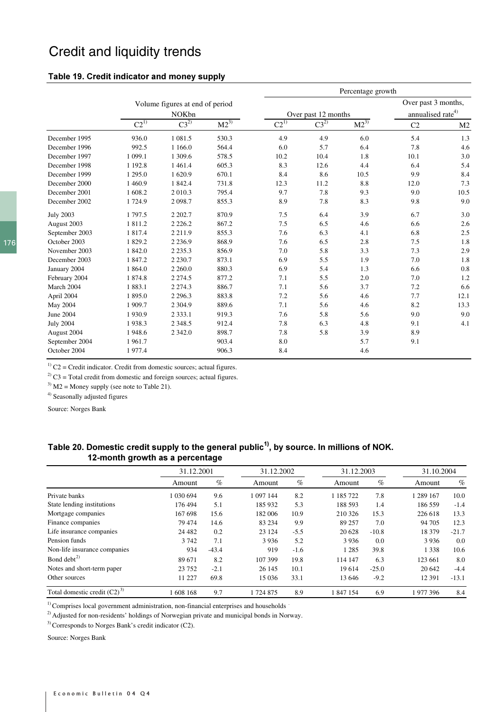# Credit and liquidity trends

#### Table 19. Credit indicator and money supply

|                  |           |                                                 |           |           | Percentage growth   |          |                                                      |                |  |  |  |
|------------------|-----------|-------------------------------------------------|-----------|-----------|---------------------|----------|------------------------------------------------------|----------------|--|--|--|
|                  |           | Volume figures at end of period<br><b>NOKbn</b> |           |           | Over past 12 months |          | Over past 3 months,<br>annualised rate <sup>4)</sup> |                |  |  |  |
|                  | $C2^{1)}$ | $C3^{2)}$                                       | $M2^{3)}$ | $C2^{1)}$ | $C3^{2)}$           | $M2^{3}$ | C <sub>2</sub>                                       | M <sub>2</sub> |  |  |  |
| December 1995    | 936.0     | 1 0 8 1 .5                                      | 530.3     | 4.9       | 4.9                 | 6.0      | 5.4                                                  | 1.3            |  |  |  |
| December 1996    | 992.5     | 1 1 6 6 .0                                      | 564.4     | 6.0       | 5.7                 | 6.4      | 7.8                                                  | 4.6            |  |  |  |
| December 1997    | 1 0 9 9.1 | 1 309.6                                         | 578.5     | 10.2      | 10.4                | 1.8      | 10.1                                                 | 3.0            |  |  |  |
| December 1998    | 1 192.8   | 1461.4                                          | 605.3     | 8.3       | 12.6                | 4.4      | 6.4                                                  | 5.4            |  |  |  |
| December 1999    | 1 295.0   | 1620.9                                          | 670.1     | 8.4       | 8.6                 | 10.5     | 9.9                                                  | 8.4            |  |  |  |
| December 2000    | 1 460.9   | 1 842.4                                         | 731.8     | 12.3      | 11.2                | 8.8      | 12.0                                                 | 7.3            |  |  |  |
| December 2001    | 1 608.2   | 2 010.3                                         | 795.4     | 9.7       | 7.8                 | 9.3      | 9.0                                                  | 10.5           |  |  |  |
| December 2002    | 1724.9    | 2 0 9 8.7                                       | 855.3     | 8.9       | 7.8                 | 8.3      | 9.8                                                  | 9.0            |  |  |  |
| <b>July 2003</b> | 1 797.5   | 2 2 0 2.7                                       | 870.9     | 7.5       | 6.4                 | 3.9      | 6.7                                                  | 3.0            |  |  |  |
| August 2003      | 1811.2    | 2 2 2 6 .2                                      | 867.2     | 7.5       | 6.5                 | 4.6      | 6.6                                                  | 2.6            |  |  |  |
| September 2003   | 1 817.4   | 2 2 1 1 .9                                      | 855.3     | 7.6       | 6.3                 | 4.1      | 6.8                                                  | 2.5            |  |  |  |
| October 2003     | 1829.2    | 2 2 3 6 .9                                      | 868.9     | 7.6       | 6.5                 | 2.8      | 7.5                                                  | 1.8            |  |  |  |
| November 2003    | 1 842.0   | 2 2 3 5 . 3                                     | 856.9     | 7.0       | 5.8                 | 3.3      | 7.3                                                  | 2.9            |  |  |  |
| December 2003    | 1847.2    | 2 2 3 0.7                                       | 873.1     | 6.9       | 5.5                 | 1.9      | 7.0                                                  | 1.8            |  |  |  |
| January 2004     | 1 864.0   | 2 2 6 0.0                                       | 880.3     | 6.9       | 5.4                 | 1.3      | 6.6                                                  | 0.8            |  |  |  |
| February 2004    | 1874.8    | 2 2 7 4 .5                                      | 877.2     | 7.1       | 5.5                 | 2.0      | 7.0                                                  | 1.2            |  |  |  |
| March 2004       | 1883.1    | 2 2 7 4 .3                                      | 886.7     | 7.1       | 5.6                 | 3.7      | 7.2                                                  | 6.6            |  |  |  |
| April 2004       | 1 895.0   | 2 2 9 6.3                                       | 883.8     | 7.2       | 5.6                 | 4.6      | 7.7                                                  | 12.1           |  |  |  |
| May 2004         | 1 909.7   | 2 3 0 4.9                                       | 889.6     | 7.1       | 5.6                 | 4.6      | 8.2                                                  | 13.3           |  |  |  |
| <b>June 2004</b> | 1930.9    | 2 3 3 3 .1                                      | 919.3     | 7.6       | 5.8                 | 5.6      | 9.0                                                  | 9.0            |  |  |  |
| <b>July 2004</b> | 1938.3    | 2 3 4 8 .5                                      | 912.4     | 7.8       | 6.3                 | 4.8      | 9.1                                                  | 4.1            |  |  |  |
| August 2004      | 1948.6    | 2 3 4 2 .0                                      | 898.7     | 7.8       | 5.8                 | 3.9      | 8.9                                                  |                |  |  |  |
| September 2004   | 1961.7    |                                                 | 903.4     | 8.0       |                     | 5.7      | 9.1                                                  |                |  |  |  |
| October 2004     | 1977.4    |                                                 | 906.3     | 8.4       |                     | 4.6      |                                                      |                |  |  |  |

 $1)$  C2 = Credit indicator. Credit from domestic sources; actual figures.

 $^{2)}$  C3 = Total credit from domestic and foreign sources; actual figures.

 $3)$  M2 = Money supply (see note to Table 21).

<sup>4)</sup> Seasonally adjusted figures

Source: Norges Bank

# Table 20. Domestic credit supply to the general public<sup>1)</sup>, by source. In millions of NOK. 12-month growth as a percentage

|                                | 31.12.2001 |         | 31.12.2002 |        | 31.12.2003 |         | 31.10.2004 |         |
|--------------------------------|------------|---------|------------|--------|------------|---------|------------|---------|
|                                | Amount     | $\%$    | Amount     | $\%$   | Amount     | $\%$    | Amount     | $\%$    |
| Private banks                  | 1 030 694  | 9.6     | 097 144    | 8.2    | 1 185 722  | 7.8     | 1 289 167  | 10.0    |
| State lending institutions     | 176 494    | 5.1     | 185 932    | 5.3    | 188 593    | 1.4     | 186 559    | $-1.4$  |
| Mortgage companies             | 167 698    | 15.6    | 182 006    | 10.9   | 210 326    | 15.3    | 226 618    | 13.3    |
| Finance companies              | 79 474     | 14.6    | 83 234     | 9.9    | 89 257     | 7.0     | 94 705     | 12.3    |
| Life insurance companies       | 24 4 8 2   | 0.2     | 23 124     | $-5.5$ | 20 628     | $-10.8$ | 18 379     | $-21.7$ |
| Pension funds                  | 3 7 4 2    | 7.1     | 3936       | 5.2    | 3 9 3 6    | 0.0     | 3936       | 0.0     |
| Non-life insurance companies   | 934        | $-43.4$ | 919        | $-1.6$ | 1 2 8 5    | 39.8    | 1 3 3 8    | 10.6    |
| Bond debt <sup>2)</sup>        | 89 671     | 8.2     | 107 399    | 19.8   | 114 147    | 6.3     | 123 661    | 8.0     |
| Notes and short-term paper     | 23 752     | $-2.1$  | 26 145     | 10.1   | 19614      | $-25.0$ | 20 642     | $-4.4$  |
| Other sources                  | 11 227     | 69.8    | 15 0 36    | 33.1   | 13 646     | $-9.2$  | 12 3 9 1   | $-13.1$ |
| Total domestic credit $(C2)^3$ | 608 168    | 9.7     | 724 875    | 8.9    | 847 154    | 6.9     | 1977396    | 8.4     |

 $1)$  Comprises local government administration, non-financial enterprises and households

<sup>2)</sup> Adjusted for non-residents' holdings of Norwegian private and municipal bonds in Norway.

3) Corresponds to Norges Bank's credit indicator (C2).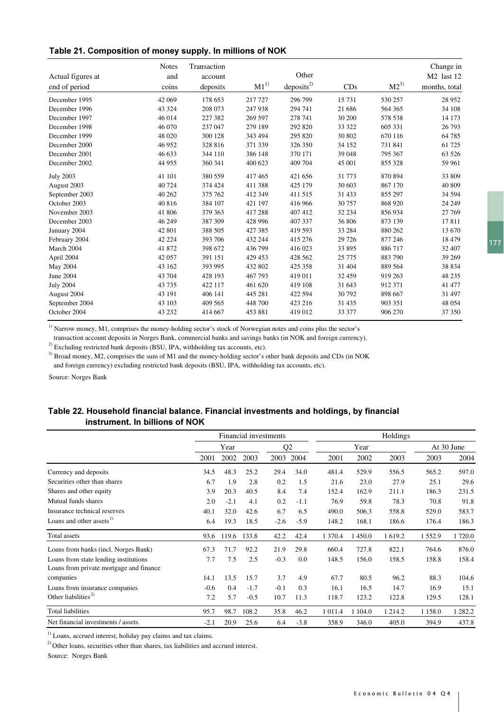|  | Table 21. Composition of money supply. In millions of NOK |  |
|--|-----------------------------------------------------------|--|
|  |                                                           |  |

| Actual figures at<br>end of period | <b>Notes</b><br>and<br>coins | Transaction<br>account<br>deposits | $M1^{1}$ | Other<br>deposits <sup>2)</sup> | CDs      | $M2^{3)}$ | Change in<br>M <sub>2</sub> last 12<br>months, total |
|------------------------------------|------------------------------|------------------------------------|----------|---------------------------------|----------|-----------|------------------------------------------------------|
| December 1995                      | 42 069                       | 178 653                            | 217 727  | 296 799                         | 15 7 31  | 530 257   | 28 9 52                                              |
| December 1996                      | 43 324                       | 208 073                            | 247 938  | 294 741                         | 21 68 6  | 564 365   | 34 108                                               |
| December 1997                      | 46 014                       | 227 382                            | 269 597  | 278 741                         | 30 200   | 578 538   | 14 173                                               |
| December 1998                      | 46 070                       | 237 047                            | 279 189  | 292 820                         | 33 322   | 605 331   | 26 793                                               |
| December 1999                      | 48 020                       | 300 128                            | 343 494  | 295 820                         | 30 802   | 670 116   | 64 785                                               |
| December 2000                      | 46 952                       | 328 816                            | 371 339  | 326 350                         | 34 152   | 731 841   | 61 725                                               |
| December 2001                      | 46 633                       | 344 110                            | 386 148  | 370 171                         | 39 048   | 795 367   | 63 526                                               |
| December 2002                      | 44 955                       | 360 341                            | 400 623  | 409 704                         | 45 001   | 855 328   | 59 961                                               |
| <b>July 2003</b>                   | 41 101                       | 380 559                            | 417465   | 421 656                         | 31 773   | 870 894   | 33 809                                               |
| August 2003                        | 40 724                       | 374 424                            | 411 388  | 425 179                         | 30 603   | 867 170   | 40 809                                               |
| September 2003                     | 40 26 2                      | 375 762                            | 412 349  | 411 515                         | 31 433   | 855 297   | 34 5 94                                              |
| October 2003                       | 40 816                       | 384 107                            | 421 197  | 416 966                         | 30 757   | 868 920   | 24 24 9                                              |
| November 2003                      | 41 806                       | 379 363                            | 417 288  | 407 412                         | 32 234   | 856 934   | 27 769                                               |
| December 2003                      | 46 249                       | 387 309                            | 428 996  | 407 337                         | 36 806   | 873 139   | 17811                                                |
| January 2004                       | 42 801                       | 388 505                            | 427 385  | 419 593                         | 33 284   | 880 262   | 13 670                                               |
| February 2004                      | 42 2 2 4                     | 393 706                            | 432 244  | 415 276                         | 29 7 26  | 877 246   | 18 479                                               |
| March 2004                         | 41 872                       | 398 672                            | 436 799  | 416 023                         | 33 895   | 886 717   | 32 407                                               |
| April 2004                         | 42 057                       | 391 151                            | 429 453  | 428 562                         | 25 7 7 5 | 883 790   | 39 269                                               |
| May 2004                           | 43 162                       | 393 995                            | 432 802  | 425 358                         | 31 404   | 889 564   | 38 834                                               |
| June 2004                          | 43 704                       | 428 193                            | 467 793  | 419 011                         | 32 459   | 919 263   | 48 235                                               |
| <b>July 2004</b>                   | 43735                        | 422 117                            | 461 620  | 419 108                         | 31 643   | 912 371   | 41 477                                               |
| August 2004                        | 43 191                       | 406 141                            | 445 281  | 422 594                         | 30 792   | 898 667   | 31 497                                               |
| September 2004                     | 43 103                       | 409 565                            | 448 700  | 423 216                         | 31 4 35  | 903 351   | 48 054                                               |
| October 2004                       | 43 232                       | 414 667                            | 453 881  | 419 012                         | 33 377   | 906 270   | 37 350                                               |

<sup>1)</sup> Narrow money, M1, comprises the money-holding sector's stock of Norwegian notes and coins plus the sector's

transaction account deposits in Norges Bank, commercial banks and savings banks (in NOK and foreign currency).

 $^{2)}$  Excluding restricted bank deposits (BSU, IPA, withholding tax accounts, etc).

<sup>3)</sup> Broad money, M2, comprises the sum of M1 and the money-holding sector's other bank deposits and CDs (in NOK and foreign currency) excluding restricted bank deposits (BSU, IPA, withholding tax accounts, etc).

Source: Norges Bank

### Table 22. Household financial balance. Financial investments and holdings, by financial instrument. In billions of NOK

|                                                                                  |        |        |        | Financial investments |                |            |            | Holdings |            |            |
|----------------------------------------------------------------------------------|--------|--------|--------|-----------------------|----------------|------------|------------|----------|------------|------------|
|                                                                                  |        | Year   |        |                       | Q <sub>2</sub> |            | Year       |          |            | At 30 June |
|                                                                                  | 2001   | 2002   | 2003   | 2003                  | 2004           | 2001       | 2002       | 2003     | 2003       | 2004       |
| Currency and deposits                                                            | 34.5   | 48.3   | 25.2   | 29.4                  | 34.0           | 481.4      | 529.9      | 556.5    | 565.2      | 597.0      |
| Securities other than shares                                                     | 6.7    | 1.9    | 2.8    | 0.2                   | 1.5            | 21.6       | 23.0       | 27.9     | 25.1       | 29.6       |
| Shares and other equity                                                          | 3.9    | 20.3   | 40.5   | 8.4                   | 7.4            | 152.4      | 162.9      | 211.1    | 186.3      | 231.5      |
| Mutual funds shares                                                              | 2.0    | $-2.1$ | 4.1    | 0.2                   | $-1.1$         | 76.9       | 59.8       | 78.3     | 70.8       | 91.8       |
| Insurance technical reserves                                                     | 40.1   | 32.0   | 42.6   | 6.7                   | 6.5            | 490.0      | 506.3      | 558.8    | 529.0      | 583.7      |
| Loans and other assets $^{1}$                                                    | 6.4    | 19.3   | 18.5   | $-2.6$                | $-5.9$         | 148.2      | 168.1      | 186.6    | 176.4      | 186.3      |
| Total assets                                                                     | 93.6   | 119.6  | 133.8  | 42.2                  | 42.4           | 1 370.4    | 450.0      | 1619.2   | 1552.9     | 1720.0     |
| Loans from banks (incl. Norges Bank)                                             | 67.3   | 71.7   | 92.2   | 21.9                  | 29.8           | 660.4      | 727.8      | 822.1    | 764.6      | 876.0      |
| Loans from state lending institutions<br>Loans from private mortgage and finance | 7.7    | 7.5    | 2.5    | $-0.3$                | 0.0            | 148.5      | 156.0      | 158.5    | 158.8      | 158.4      |
| companies                                                                        | 14.1   | 13.5   | 15.7   | 3.7                   | 4.9            | 67.7       | 80.5       | 96.2     | 88.3       | 104.6      |
| Loans from insurance companies                                                   | $-0.6$ | 0.4    | $-1.7$ | $-0.1$                | 0.3            | 16.1       | 16.5       | 14.7     | 16.9       | 15.1       |
| Other liabilities <sup>2)</sup>                                                  | 7.2    | 5.7    | $-0.5$ | 10.7                  | 11.3           | 118.7      | 123.2      | 122.8    | 129.5      | 128.1      |
| <b>Total liabilities</b>                                                         | 95.7   | 98.7   | 108.2  | 35.8                  | 46.2           | 1 0 1 1 .4 | 1 1 0 4 .0 | 1 214.2  | 1 1 5 8 .0 | 1 282.2    |
| Net financial investments / assets                                               | $-2.1$ | 20.9   | 25.6   | 6.4                   | $-3.8$         | 358.9      | 346.0      | 405.0    | 394.9      | 437.8      |

 $1)$  Loans, accrued interest, holiday pay claims and tax claims.

 $2)$  Other loans, securities other than shares, tax liabilities and accrued interest.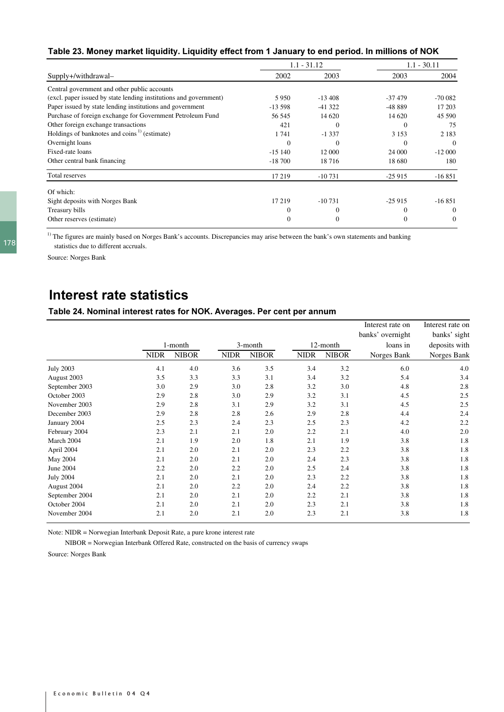### Table 23. Money market liquidity. Liquidity effect from 1 January to end period. In millions of NOK

|                                                                   |          | $1.1 - 31.12$ | $1.1 - 30.11$ |                |  |
|-------------------------------------------------------------------|----------|---------------|---------------|----------------|--|
| Supply+/withdrawal-                                               | 2002     | 2003          | 2003          | 2004           |  |
| Central government and other public accounts                      |          |               |               |                |  |
| (excl. paper issued by state lending institutions and government) | 5950     | $-13408$      | $-37479$      | $-70082$       |  |
| Paper issued by state lending institutions and government         | $-13598$ | $-41322$      | -48 889       | 17 203         |  |
| Purchase of foreign exchange for Government Petroleum Fund        | 56 545   | 14 620        | 14 620        | 45 590         |  |
| Other foreign exchange transactions                               | 421      | $\Omega$      | $\Omega$      | 75             |  |
| Holdings of banknotes and coins <sup>1)</sup> (estimate)          | 1741     | $-1337$       | 3 1 5 3       | 2 1 8 3        |  |
| Overnight loans                                                   | $\Omega$ | $\Omega$      | $\Omega$      | $\theta$       |  |
| Fixed-rate loans                                                  | $-15140$ | 12 000        | 24 000        | $-12000$       |  |
| Other central bank financing                                      | $-18700$ | 18716         | 18 680        | 180            |  |
| Total reserves                                                    | 17219    | $-10731$      | $-25915$      | $-16851$       |  |
| Of which:                                                         |          |               |               |                |  |
| Sight deposits with Norges Bank                                   | 17219    | $-10731$      | $-25915$      | $-16851$       |  |
| Treasury bills                                                    | 0        |               | $\Omega$      | $\overline{0}$ |  |
| Other reserves (estimate)                                         | $\Omega$ | $^{(1)}$      | $\Omega$      | $\Omega$       |  |

<sup>1)</sup> The figures are mainly based on Norges Bank's accounts. Discrepancies may arise between the bank's own statements and banking statistics due to different accruals.

Source: Norges Bank

# Interest rate statistics

### Table 24. Nominal interest rates for NOK. Averages. Per cent per annum

|                  |             |              |             |              |             |              | Interest rate on | Interest rate on |
|------------------|-------------|--------------|-------------|--------------|-------------|--------------|------------------|------------------|
|                  |             |              |             |              |             |              | banks' overnight | banks' sight     |
|                  |             | 1-month      |             | 3-month      |             | 12-month     | loans in         | deposits with    |
|                  | <b>NIDR</b> | <b>NIBOR</b> | <b>NIDR</b> | <b>NIBOR</b> | <b>NIDR</b> | <b>NIBOR</b> | Norges Bank      | Norges Bank      |
| <b>July 2003</b> | 4.1         | 4.0          | 3.6         | 3.5          | 3.4         | 3.2          | 6.0              | 4.0              |
| August 2003      | 3.5         | 3.3          | 3.3         | 3.1          | 3.4         | 3.2          | 5.4              | 3.4              |
| September 2003   | 3.0         | 2.9          | 3.0         | 2.8          | 3.2         | 3.0          | 4.8              | 2.8              |
| October 2003     | 2.9         | 2.8          | 3.0         | 2.9          | 3.2         | 3.1          | 4.5              | 2.5              |
| November 2003    | 2.9         | 2.8          | 3.1         | 2.9          | 3.2         | 3.1          | 4.5              | 2.5              |
| December 2003    | 2.9         | 2.8          | 2.8         | 2.6          | 2.9         | 2.8          | 4.4              | 2.4              |
| January 2004     | 2.5         | 2.3          | 2.4         | 2.3          | 2.5         | 2.3          | 4.2              | 2.2              |
| February 2004    | 2.3         | 2.1          | 2.1         | 2.0          | 2.2         | 2.1          | 4.0              | 2.0              |
| March 2004       | 2.1         | 1.9          | 2.0         | 1.8          | 2.1         | 1.9          | 3.8              | 1.8              |
| April 2004       | 2.1         | 2.0          | 2.1         | 2.0          | 2.3         | 2.2          | 3.8              | 1.8              |
| May 2004         | 2.1         | 2.0          | 2.1         | 2.0          | 2.4         | 2.3          | 3.8              | 1.8              |
| June 2004        | 2.2         | 2.0          | 2.2         | 2.0          | 2.5         | 2.4          | 3.8              | 1.8              |
| <b>July 2004</b> | 2.1         | 2.0          | 2.1         | 2.0          | 2.3         | 2.2          | 3.8              | 1.8              |
| August 2004      | 2.1         | 2.0          | 2.2         | 2.0          | 2.4         | 2.2          | 3.8              | 1.8              |
| September 2004   | 2.1         | 2.0          | 2.1         | 2.0          | 2.2         | 2.1          | 3.8              | 1.8              |
| October 2004     | 2.1         | 2.0          | 2.1         | 2.0          | 2.3         | 2.1          | 3.8              | 1.8              |
| November 2004    | 2.1         | 2.0          | 2.1         | 2.0          | 2.3         | 2.1          | 3.8              | 1.8              |

Note: NIDR = Norwegian Interbank Deposit Rate, a pure krone interest rate

NIBOR = Norwegian Interbank Offered Rate, constructed on the basis of currency swaps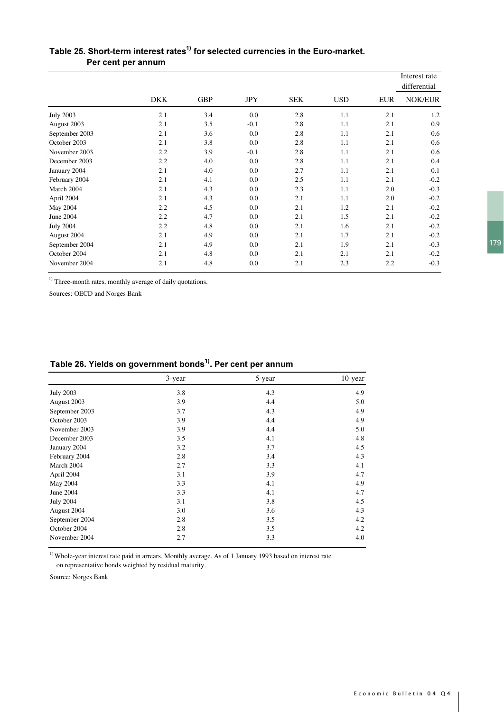|                  |            |            |            |            |            |            | Interest rate<br>differential |
|------------------|------------|------------|------------|------------|------------|------------|-------------------------------|
|                  | <b>DKK</b> | <b>GBP</b> | <b>JPY</b> | <b>SEK</b> | <b>USD</b> | <b>EUR</b> | NOK/EUR                       |
| <b>July 2003</b> | 2.1        | 3.4        | 0.0        | 2.8        | 1.1        | 2.1        | 1.2                           |
| August 2003      | 2.1        | 3.5        | $-0.1$     | 2.8        | 1.1        | 2.1        | 0.9                           |
| September 2003   | 2.1        | 3.6        | 0.0        | 2.8        | 1.1        | 2.1        | 0.6                           |
| October 2003     | 2.1        | 3.8        | 0.0        | 2.8        | 1.1        | 2.1        | 0.6                           |
| November 2003    | 2.2        | 3.9        | $-0.1$     | 2.8        | 1.1        | 2.1        | 0.6                           |
| December 2003    | 2.2        | 4.0        | $0.0\,$    | 2.8        | 1.1        | 2.1        | 0.4                           |
| January 2004     | 2.1        | 4.0        | 0.0        | 2.7        | 1.1        | 2.1        | 0.1                           |
| February 2004    | 2.1        | 4.1        | 0.0        | 2.5        | 1.1        | 2.1        | $-0.2$                        |
| March 2004       | 2.1        | 4.3        | $0.0\,$    | 2.3        | 1.1        | 2.0        | $-0.3$                        |
| April 2004       | 2.1        | 4.3        | 0.0        | 2.1        | 1.1        | 2.0        | $-0.2$                        |
| May 2004         | 2.2        | 4.5        | 0.0        | 2.1        | 1.2        | 2.1        | $-0.2$                        |
| <b>June 2004</b> | 2.2        | 4.7        | 0.0        | 2.1        | 1.5        | 2.1        | $-0.2$                        |
| <b>July 2004</b> | 2.2        | 4.8        | 0.0        | 2.1        | 1.6        | 2.1        | $-0.2$                        |
| August 2004      | 2.1        | 4.9        | 0.0        | 2.1        | 1.7        | 2.1        | $-0.2$                        |
| September 2004   | 2.1        | 4.9        | 0.0        | 2.1        | 1.9        | 2.1        | $-0.3$                        |
| October 2004     | 2.1        | 4.8        | $0.0\,$    | 2.1        | 2.1        | 2.1        | $-0.2$                        |
| November 2004    | 2.1        | 4.8        | 0.0        | 2.1        | 2.3        | 2.2        | $-0.3$                        |

# Table 25. Short-term interest rates<sup>1)</sup> for selected currencies in the Euro-market. **Per cent per annum**

<sup>1)</sup> Three-month rates, monthly average of daily quotations.

Sources: OECD and Norges Bank

|                  | ັ      |        |            |
|------------------|--------|--------|------------|
|                  | 3-year | 5-year | $10$ -year |
| <b>July 2003</b> | 3.8    | 4.3    | 4.9        |
| August 2003      | 3.9    | 4.4    | 5.0        |
| September 2003   | 3.7    | 4.3    | 4.9        |
| October 2003     | 3.9    | 4.4    | 4.9        |
| November 2003    | 3.9    | 4.4    | 5.0        |
| December 2003    | 3.5    | 4.1    | 4.8        |
| January 2004     | 3.2    | 3.7    | 4.5        |
| February 2004    | 2.8    | 3.4    | 4.3        |
| March 2004       | 2.7    | 3.3    | 4.1        |
| April 2004       | 3.1    | 3.9    | 4.7        |
| May 2004         | 3.3    | 4.1    | 4.9        |
| June 2004        | 3.3    | 4.1    | 4.7        |
| <b>July 2004</b> | 3.1    | 3.8    | 4.5        |
| August 2004      | 3.0    | 3.6    | 4.3        |
| September 2004   | 2.8    | 3.5    | 4.2        |
| October 2004     | 2.8    | 3.5    | 4.2        |
| November 2004    | 2.7    | 3.3    | 4.0        |

## Table 26. Yields on government bonds<sup>1)</sup>. Per cent per annum

<sup>1)</sup> Whole-year interest rate paid in arrears. Monthly average. As of 1 January 1993 based on interest rate on representative bonds weighted by residual maturity.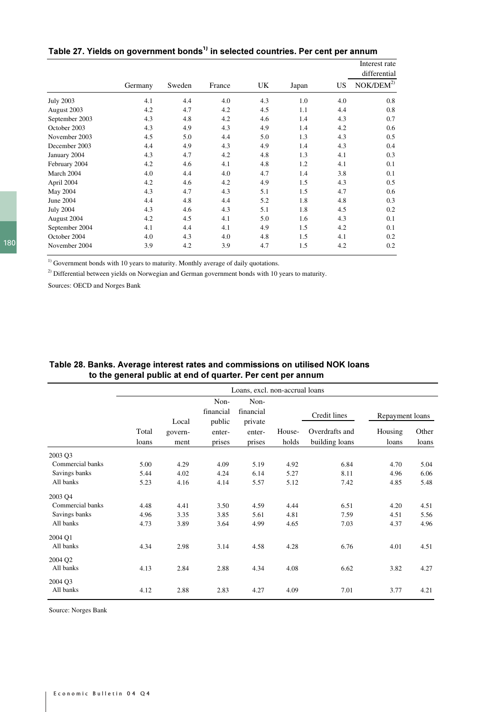|  | Table 27. Yields on government bonds <sup>1)</sup> in selected countries. Per cent per annum |  |  |  |  |
|--|----------------------------------------------------------------------------------------------|--|--|--|--|
|--|----------------------------------------------------------------------------------------------|--|--|--|--|

|                  |         |        |        |     |       |     | Interest rate<br>differential |
|------------------|---------|--------|--------|-----|-------|-----|-------------------------------|
|                  | Germany | Sweden | France | UK  | Japan | US. | NOK/DEM <sup>2</sup> )        |
| <b>July 2003</b> | 4.1     | 4.4    | 4.0    | 4.3 | 1.0   | 4.0 | 0.8                           |
| August 2003      | 4.2     | 4.7    | 4.2    | 4.5 | 1.1   | 4.4 | 0.8                           |
| September 2003   | 4.3     | 4.8    | 4.2    | 4.6 | 1.4   | 4.3 | 0.7                           |
| October 2003     | 4.3     | 4.9    | 4.3    | 4.9 | 1.4   | 4.2 | 0.6                           |
| November 2003    | 4.5     | 5.0    | 4.4    | 5.0 | 1.3   | 4.3 | 0.5                           |
| December 2003    | 4.4     | 4.9    | 4.3    | 4.9 | 1.4   | 4.3 | 0.4                           |
| January 2004     | 4.3     | 4.7    | 4.2    | 4.8 | 1.3   | 4.1 | 0.3                           |
| February 2004    | 4.2     | 4.6    | 4.1    | 4.8 | 1.2   | 4.1 | 0.1                           |
| March 2004       | 4.0     | 4.4    | 4.0    | 4.7 | 1.4   | 3.8 | 0.1                           |
| April 2004       | 4.2     | 4.6    | 4.2    | 4.9 | 1.5   | 4.3 | 0.5                           |
| May 2004         | 4.3     | 4.7    | 4.3    | 5.1 | 1.5   | 4.7 | 0.6                           |
| June 2004        | 4.4     | 4.8    | 4.4    | 5.2 | 1.8   | 4.8 | 0.3                           |
| <b>July 2004</b> | 4.3     | 4.6    | 4.3    | 5.1 | 1.8   | 4.5 | 0.2                           |
| August 2004      | 4.2     | 4.5    | 4.1    | 5.0 | 1.6   | 4.3 | 0.1                           |
| September 2004   | 4.1     | 4.4    | 4.1    | 4.9 | 1.5   | 4.2 | 0.1                           |
| October 2004     | 4.0     | 4.3    | 4.0    | 4.8 | 1.5   | 4.1 | 0.2                           |
| November 2004    | 3.9     | 4.2    | 3.9    | 4.7 | 1.5   | 4.2 | 0.2                           |

 $^{\rm 1)}$  Government bonds with 10 years to maturity. Monthly average of daily quotations.

<sup>2)</sup> Differential between yields on Norwegian and German government bonds with 10 years to maturity.

Sources: OECD and Norges Bank

|                     | Loans, excl. non-accrual loans |         |           |           |        |                |                 |       |
|---------------------|--------------------------------|---------|-----------|-----------|--------|----------------|-----------------|-------|
|                     |                                |         | Non-      | Non-      |        |                |                 |       |
|                     |                                |         | financial | financial |        | Credit lines   | Repayment loans |       |
|                     |                                | Local   | public    | private   |        |                |                 |       |
|                     | Total                          | govern- | enter-    | enter-    | House- | Overdrafts and | Housing         | Other |
|                     | loans                          | ment    | prises    | prises    | holds  | building loans | loans           | loans |
| 2003 Q3             |                                |         |           |           |        |                |                 |       |
| Commercial banks    | 5.00                           | 4.29    | 4.09      | 5.19      | 4.92   | 6.84           | 4.70            | 5.04  |
| Savings banks       | 5.44                           | 4.02    | 4.24      | 6.14      | 5.27   | 8.11           | 4.96            | 6.06  |
| All banks           | 5.23                           | 4.16    | 4.14      | 5.57      | 5.12   | 7.42           | 4.85            | 5.48  |
| 2003 O <sub>4</sub> |                                |         |           |           |        |                |                 |       |
| Commercial banks    | 4.48                           | 4.41    | 3.50      | 4.59      | 4.44   | 6.51           | 4.20            | 4.51  |
| Savings banks       | 4.96                           | 3.35    | 3.85      | 5.61      | 4.81   | 7.59           | 4.51            | 5.56  |
| All banks           | 4.73                           | 3.89    | 3.64      | 4.99      | 4.65   | 7.03           | 4.37            | 4.96  |
| 2004 Q1             |                                |         |           |           |        |                |                 |       |
| All banks           | 4.34                           | 2.98    | 3.14      | 4.58      | 4.28   | 6.76           | 4.01            | 4.51  |
| 2004 Q2             |                                |         |           |           |        |                |                 |       |
| All banks           | 4.13                           | 2.84    | 2.88      | 4.34      | 4.08   | 6.62           | 3.82            | 4.27  |
| 2004 O <sub>3</sub> |                                |         |           |           |        |                |                 |       |
| All banks           | 4.12                           | 2.88    | 2.83      | 4.27      | 4.09   | 7.01           | 3.77            | 4.21  |

Table 28. Banks. Average interest rates and commissions on utilised NOK loans to the general public at end of quarter. Per cent per annum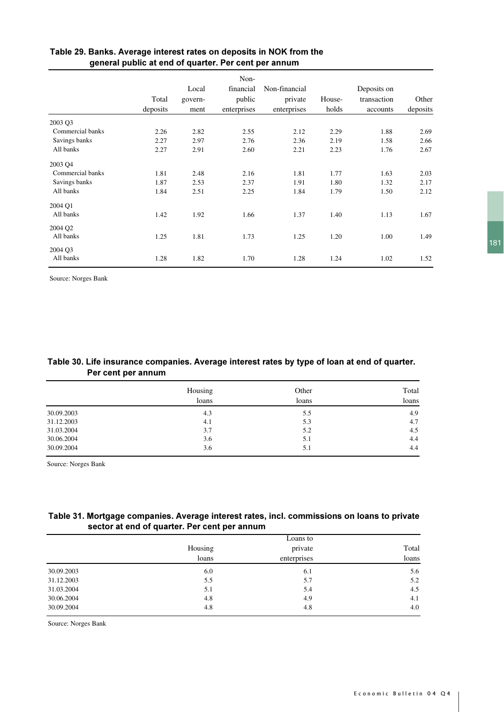|                     |          | Local   | Non-<br>financial | Non-financial |        |             |          |
|---------------------|----------|---------|-------------------|---------------|--------|-------------|----------|
|                     |          |         |                   |               |        | Deposits on |          |
|                     | Total    | govern- | public            | private       | House- | transaction | Other    |
|                     | deposits | ment    | enterprises       | enterprises   | holds  | accounts    | deposits |
| 2003 Q3             |          |         |                   |               |        |             |          |
| Commercial banks    | 2.26     | 2.82    | 2.55              | 2.12          | 2.29   | 1.88        | 2.69     |
| Savings banks       | 2.27     | 2.97    | 2.76              | 2.36          | 2.19   | 1.58        | 2.66     |
| All banks           | 2.27     | 2.91    | 2.60              | 2.21          | 2.23   | 1.76        | 2.67     |
| 2003 Q4             |          |         |                   |               |        |             |          |
| Commercial banks    | 1.81     | 2.48    | 2.16              | 1.81          | 1.77   | 1.63        | 2.03     |
| Savings banks       | 1.87     | 2.53    | 2.37              | 1.91          | 1.80   | 1.32        | 2.17     |
| All banks           | 1.84     | 2.51    | 2.25              | 1.84          | 1.79   | 1.50        | 2.12     |
| 2004 Q1             |          |         |                   |               |        |             |          |
| All banks           | 1.42     | 1.92    | 1.66              | 1.37          | 1.40   | 1.13        | 1.67     |
| 2004 Q2             |          |         |                   |               |        |             |          |
| All banks           | 1.25     | 1.81    | 1.73              | 1.25          | 1.20   | 1.00        | 1.49     |
| 2004 O <sub>3</sub> |          |         |                   |               |        |             |          |
| All banks           | 1.28     | 1.82    | 1.70              | 1.28          | 1.24   | 1.02        | 1.52     |

## Table 29. Banks. Average interest rates on deposits in NOK from the general public at end of quarter. Per cent per annum

Source: Norges Bank

# Table 30. Life insurance companies. Average interest rates by type of loan at end of quarter. **Per cent per annum**

|            | Housing | Other | Total |
|------------|---------|-------|-------|
|            | loans   | loans | loans |
| 30.09.2003 | 4.3     | 5.5   | 4.9   |
| 31.12.2003 | 4.1     | 5.3   | 4.7   |
| 31.03.2004 | 3.7     | 5.2   | 4.5   |
| 30.06.2004 | 3.6     | 5.1   | 4.4   |
| 30.09.2004 | 3.6     | 5.1   | 4.4   |

Source: Norges Bank

# Table 31. Mortgage companies. Average interest rates, incl. commissions on loans to private sector at end of quarter. Per cent per annum

|            | Housing | private     | Total |
|------------|---------|-------------|-------|
|            | loans   | enterprises | loans |
| 30.09.2003 | 6.0     | 6.1         | 5.6   |
| 31.12.2003 | 5.5     | 5.7         | 5.2   |
| 31.03.2004 | 5.1     | 5.4         | 4.5   |
| 30.06.2004 | 4.8     | 4.9         | 4.1   |
| 30.09.2004 | 4.8     | 4.8         | 4.0   |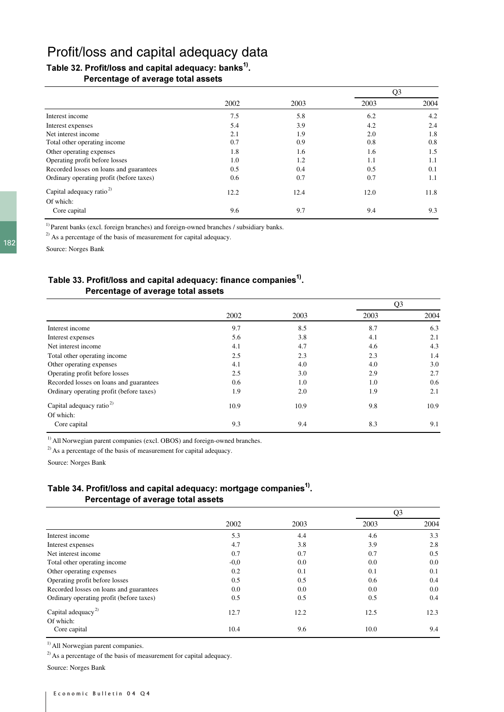# Profit/loss and capital adequacy data

# Table 32. Profit/loss and capital adequacy: banks $^{\rm 1)}$ . Percentage of average total assets

|                                          |      |      | Q <sub>3</sub> |      |
|------------------------------------------|------|------|----------------|------|
|                                          | 2002 | 2003 | 2003           | 2004 |
| Interest income                          | 7.5  | 5.8  | 6.2            | 4.2  |
| Interest expenses                        | 5.4  | 3.9  | 4.2            | 2.4  |
| Net interest income                      | 2.1  | 1.9  | 2.0            | 1.8  |
| Total other operating income             | 0.7  | 0.9  | 0.8            | 0.8  |
| Other operating expenses                 | 1.8  | 1.6  | 1.6            | 1.5  |
| Operating profit before losses           | 1.0  | 1.2  | 1.1            | 1.1  |
| Recorded losses on loans and guarantees  | 0.5  | 0.4  | 0.5            | 0.1  |
| Ordinary operating profit (before taxes) | 0.6  | 0.7  | 0.7            | 1.1  |
| Capital adequacy ratio <sup>2)</sup>     | 12.2 | 12.4 | 12.0           | 11.8 |
| Of which:                                |      |      |                |      |
| Core capital                             | 9.6  | 9.7  | 9.4            | 9.3  |

<sup>1)</sup> Parent banks (excl. foreign branches) and foreign-owned branches / subsidiary banks.

<sup>2)</sup> As a percentage of the basis of measurement for capital adequacy.

Source: Norges Bank

# Table 33. Profit/loss and capital adequacy: finance companies $^{\rm 1)}$ . Percentage of average total assets

|                                          |      |      | Q3   |      |
|------------------------------------------|------|------|------|------|
|                                          | 2002 | 2003 | 2003 | 2004 |
| Interest income                          | 9.7  | 8.5  | 8.7  | 6.3  |
| Interest expenses                        | 5.6  | 3.8  | 4.1  | 2.1  |
| Net interest income                      | 4.1  | 4.7  | 4.6  | 4.3  |
| Total other operating income             | 2.5  | 2.3  | 2.3  | 1.4  |
| Other operating expenses                 | 4.1  | 4.0  | 4.0  | 3.0  |
| Operating profit before losses           | 2.5  | 3.0  | 2.9  | 2.7  |
| Recorded losses on loans and guarantees  | 0.6  | 1.0  | 1.0  | 0.6  |
| Ordinary operating profit (before taxes) | 1.9  | 2.0  | 1.9  | 2.1  |
| Capital adequacy ratio <sup>2)</sup>     | 10.9 | 10.9 | 9.8  | 10.9 |
| Of which:                                |      |      |      |      |
| Core capital                             | 9.3  | 9.4  | 8.3  | 9.1  |

<sup>1)</sup> All Norwegian parent companies (excl. OBOS) and foreign-owned branches.

<sup>2)</sup> As a percentage of the basis of measurement for capital adequacy.

Source: Norges Bank

# Table 34. Profit/loss and capital adequacy: mortgage companies $^{\rm 1)}$ . Percentage of average total assets

|                                          |        |      | Q <sub>3</sub> |      |
|------------------------------------------|--------|------|----------------|------|
|                                          | 2002   | 2003 | 2003           | 2004 |
| Interest income                          | 5.3    | 4.4  | 4.6            | 3.3  |
| Interest expenses                        | 4.7    | 3.8  | 3.9            | 2.8  |
| Net interest income                      | 0.7    | 0.7  | 0.7            | 0.5  |
| Total other operating income             | $-0.0$ | 0.0  | 0.0            | 0.0  |
| Other operating expenses                 | 0.2    | 0.1  | 0.1            | 0.1  |
| Operating profit before losses           | 0.5    | 0.5  | 0.6            | 0.4  |
| Recorded losses on loans and guarantees  | 0.0    | 0.0  | 0.0            | 0.0  |
| Ordinary operating profit (before taxes) | 0.5    | 0.5  | 0.5            | 0.4  |
| Capital adequacy <sup>2)</sup>           | 12.7   | 12.2 | 12.5           | 12.3 |
| Of which:                                |        |      |                |      |
| Core capital                             | 10.4   | 9.6  | 10.0           | 9.4  |

<sup>1)</sup> All Norwegian parent companies.

 $^{2)}$  As a percentage of the basis of measurement for capital adequacy.

Source: Norges Bank

182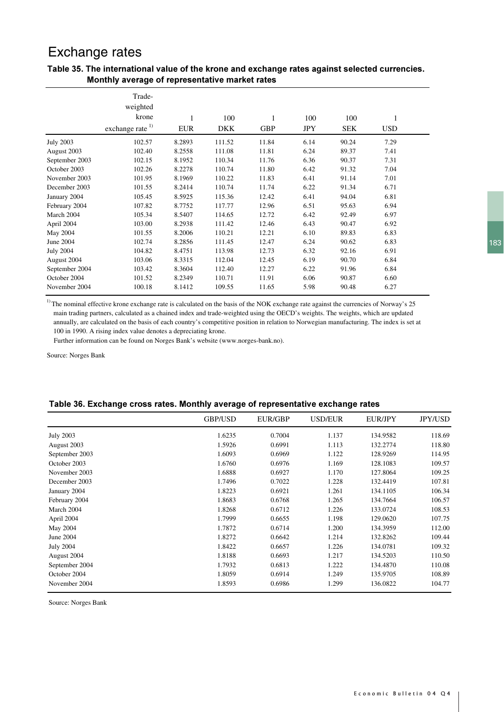# Exchange rates

|                  | Trade-<br>weighted    |              |            |            |            |            |            |  |
|------------------|-----------------------|--------------|------------|------------|------------|------------|------------|--|
|                  | krone                 | $\mathbf{1}$ | 100        | 1          | 100        | 100        | 1          |  |
|                  | exchange rate $^{1)}$ | <b>EUR</b>   | <b>DKK</b> | <b>GBP</b> | <b>JPY</b> | <b>SEK</b> | <b>USD</b> |  |
| <b>July 2003</b> | 102.57                | 8.2893       | 111.52     | 11.84      | 6.14       | 90.24      | 7.29       |  |
| August 2003      | 102.40                | 8.2558       | 111.08     | 11.81      | 6.24       | 89.37      | 7.41       |  |
| September 2003   | 102.15                | 8.1952       | 110.34     | 11.76      | 6.36       | 90.37      | 7.31       |  |
| October 2003     | 102.26                | 8.2278       | 110.74     | 11.80      | 6.42       | 91.32      | 7.04       |  |
| November 2003    | 101.95                | 8.1969       | 110.22     | 11.83      | 6.41       | 91.14      | 7.01       |  |
| December 2003    | 101.55                | 8.2414       | 110.74     | 11.74      | 6.22       | 91.34      | 6.71       |  |
| January 2004     | 105.45                | 8.5925       | 115.36     | 12.42      | 6.41       | 94.04      | 6.81       |  |
| February 2004    | 107.82                | 8.7752       | 117.77     | 12.96      | 6.51       | 95.63      | 6.94       |  |
| March 2004       | 105.34                | 8.5407       | 114.65     | 12.72      | 6.42       | 92.49      | 6.97       |  |
| April 2004       | 103.00                | 8.2938       | 111.42     | 12.46      | 6.43       | 90.47      | 6.92       |  |
| May 2004         | 101.55                | 8.2006       | 110.21     | 12.21      | 6.10       | 89.83      | 6.83       |  |
| June 2004        | 102.74                | 8.2856       | 111.45     | 12.47      | 6.24       | 90.62      | 6.83       |  |
| <b>July 2004</b> | 104.82                | 8.4751       | 113.98     | 12.73      | 6.32       | 92.16      | 6.91       |  |
| August 2004      | 103.06                | 8.3315       | 112.04     | 12.45      | 6.19       | 90.70      | 6.84       |  |
| September 2004   | 103.42                | 8.3604       | 112.40     | 12.27      | 6.22       | 91.96      | 6.84       |  |
| October 2004     | 101.52                | 8.2349       | 110.71     | 11.91      | 6.06       | 90.87      | 6.60       |  |
| November 2004    | 100.18                | 8.1412       | 109.55     | 11.65      | 5.98       | 90.48      | 6.27       |  |
|                  |                       |              |            |            |            |            |            |  |

# Table 35. The international value of the krone and exchange rates against selected currencies. Monthly average of representative market rates

 $^{1)}$ The nominal effective krone exchange rate is calculated on the basis of the NOK exchange rate against the currencies of Norway's 25 main trading partners, calculated as a chained index and trade-weighted using the OECD's weights. The weights, which are updated annually, are calculated on the basis of each country's competitive position in relation to Norwegian manufacturing. The index is set at 100 in 1990. A rising index value denotes a depreciating krone.

Further information can be found on Norges Bank's website (www.norges-bank.no).

Source: Norges Bank

### Table 36. Exchange cross rates. Monthly average of representative exchange rates

|                  | <b>GBP/USD</b> | EUR/GBP | <b>USD/EUR</b> | <b>EUR/JPY</b> | <b>JPY/USD</b> |
|------------------|----------------|---------|----------------|----------------|----------------|
| <b>July 2003</b> | 1.6235         | 0.7004  | 1.137          | 134.9582       | 118.69         |
| August 2003      | 1.5926         | 0.6991  | 1.113          | 132.2774       | 118.80         |
| September 2003   | 1.6093         | 0.6969  | 1.122          | 128.9269       | 114.95         |
| October 2003     | 1.6760         | 0.6976  | 1.169          | 128.1083       | 109.57         |
| November 2003    | 1.6888         | 0.6927  | 1.170          | 127.8064       | 109.25         |
| December 2003    | 1.7496         | 0.7022  | 1.228          | 132.4419       | 107.81         |
| January 2004     | 1.8223         | 0.6921  | 1.261          | 134.1105       | 106.34         |
| February 2004    | 1.8683         | 0.6768  | 1.265          | 134.7664       | 106.57         |
| March 2004       | 1.8268         | 0.6712  | 1.226          | 133.0724       | 108.53         |
| April 2004       | 1.7999         | 0.6655  | 1.198          | 129.0620       | 107.75         |
| May 2004         | 1.7872         | 0.6714  | 1.200          | 134.3959       | 112.00         |
| June 2004        | 1.8272         | 0.6642  | 1.214          | 132.8262       | 109.44         |
| <b>July 2004</b> | 1.8422         | 0.6657  | 1.226          | 134.0781       | 109.32         |
| August 2004      | 1.8188         | 0.6693  | 1.217          | 134.5203       | 110.50         |
| September 2004   | 1.7932         | 0.6813  | 1.222          | 134.4870       | 110.08         |
| October 2004     | 1.8059         | 0.6914  | 1.249          | 135.9705       | 108.89         |
| November 2004    | 1.8593         | 0.6986  | 1.299          | 136.0822       | 104.77         |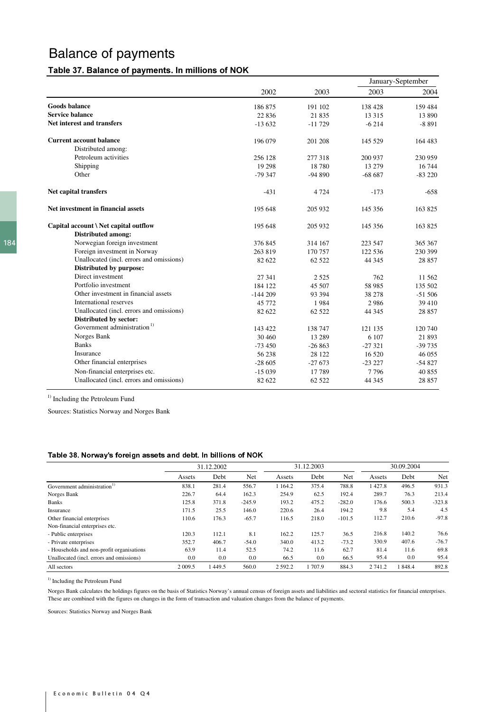# Balance of payments

### Table 37. Balance of payments. In millions of NOK

|                                          |           |          |          | January-September |
|------------------------------------------|-----------|----------|----------|-------------------|
|                                          | 2002      | 2003     | 2003     | 2004              |
| <b>Goods balance</b>                     | 186875    | 191 102  | 138 428  | 159 484           |
| <b>Service balance</b>                   | 22 8 36   | 21835    | 13 3 15  | 13 890            |
| Net interest and transfers               | $-13632$  | $-11729$ | $-6214$  | $-8891$           |
| <b>Current account balance</b>           | 196 079   | 201 208  | 145 529  | 164 483           |
| Distributed among:                       |           |          |          |                   |
| Petroleum activities                     | 256 128   | 277 318  | 200 937  | 230 959           |
| Shipping                                 | 19 29 8   | 18780    | 13 279   | 16 744            |
| Other                                    | $-79.347$ | $-94890$ | $-68687$ | $-83220$          |
| Net capital transfers                    | $-431$    | 4 7 2 4  | $-173$   | $-658$            |
| Net investment in financial assets       | 195 648   | 205 932  | 145 356  | 163 825           |
| Capital account \ Net capital outflow    | 195 648   | 205 932  | 145 356  | 163 825           |
| <b>Distributed among:</b>                |           |          |          |                   |
| Norwegian foreign investment             | 376 845   | 314 167  | 223 547  | 365 367           |
| Foreign investment in Norway             | 263 819   | 170 757  | 122.536  | 230 399           |
| Unallocated (incl. errors and omissions) | 82 622    | 62 5 22  | 44 3 45  | 28 857            |
| Distributed by purpose:                  |           |          |          |                   |
| Direct investment                        | 27 341    | 2 5 2 5  | 762      | 11 562            |
| Portfolio investment                     | 184 122   | 45 507   | 58 985   | 135 502           |
| Other investment in financial assets     | $-144209$ | 93 394   | 38 278   | $-51506$          |
| International reserves                   | 45 772    | 1984     | 2986     | 39 410            |
| Unallocated (incl. errors and omissions) | 82 622    | 62 5 22  | 44 3 45  | 28 857            |
| <b>Distributed by sector:</b>            |           |          |          |                   |
| Government administration <sup>1)</sup>  | 143 422   | 138 747  | 121 135  | 120 740           |
| Norges Bank                              | 30 460    | 13 28 9  | 6 107    | 21 893            |
| <b>Banks</b>                             | $-73450$  | $-26863$ | $-27321$ | $-39735$          |
| Insurance                                | 56 238    | 28 122   | 16 5 20  | 46 055            |
| Other financial enterprises              | $-28605$  | $-27673$ | $-23227$ | $-54827$          |
| Non-financial enterprises etc.           | $-15039$  | 17789    | 7796     | 40 855            |
| Unallocated (incl. errors and omissions) | 82 622    | 62 5 22  | 44 3 45  | 28 857            |

 $<sup>1)</sup>$  Including the Petroleum Fund</sup>

Sources: Statistics Norway and Norges Bank

#### Table 38. Norway's foreign assets and debt. In billions of NOK

|                                           |           | 31.12.2002 |          |           | 31.12.2003 |          |         | 30.09.2004 |          |
|-------------------------------------------|-----------|------------|----------|-----------|------------|----------|---------|------------|----------|
|                                           | Assets    | Debt       | Net      | Assets    | Debt       | Net      | Assets  | Debt       | Net      |
| Government administration <sup>1)</sup>   | 838.1     | 281.4      | 556.7    | 1 1 64.2  | 375.4      | 788.8    | 427.8   | 496.5      | 931.3    |
| Norges Bank                               | 226.7     | 64.4       | 162.3    | 254.9     | 62.5       | 192.4    | 289.7   | 76.3       | 213.4    |
| <b>Banks</b>                              | 125.8     | 371.8      | $-245.9$ | 193.2     | 475.2      | $-282.0$ | 176.6   | 500.3      | $-323.8$ |
| Insurance                                 | 171.5     | 25.5       | 146.0    | 220.6     | 26.4       | 194.2    | 9.8     | 5.4        | 4.5      |
| Other financial enterprises               | 110.6     | 176.3      | $-65.7$  | 116.5     | 218.0      | $-101.5$ | 112.7   | 210.6      | $-97.8$  |
| Non-financial enterprises etc.            |           |            |          |           |            |          |         |            |          |
| - Public enterprises                      | 120.3     | 112.1      | 8.1      | 162.2     | 125.7      | 36.5     | 216.8   | 140.2      | 76.6     |
| - Private enterprises                     | 352.7     | 406.7      | $-54.0$  | 340.0     | 413.2      | $-73.2$  | 330.9   | 407.6      | $-76.7$  |
| - Households and non-profit organisations | 63.9      | 11.4       | 52.5     | 74.2      | 11.6       | 62.7     | 81.4    | 11.6       | 69.8     |
| Unallocated (incl. errors and omissions)  | 0.0       | 0.0        | 0.0      | 66.5      | 0.0        | 66.5     | 95.4    | 0.0        | 95.4     |
| All sectors                               | 2 0 0 9.5 | 449.5      | 560.0    | 2 5 9 2.2 | 707.9      | 884.3    | 2 741.2 | 848.4      | 892.8    |

 $<sup>1)</sup>$  Including the Petroleum Fund</sup>

Norges Bank calculates the holdings figures on the basis of Statistics Norway's annual census of foreign assets and liabilities and sectoral statistics for financial enterprises. These are combined with the figures on changes in the form of transaction and valuation changes from the balance of payments.

Sources: Statistics Norway and Norges Bank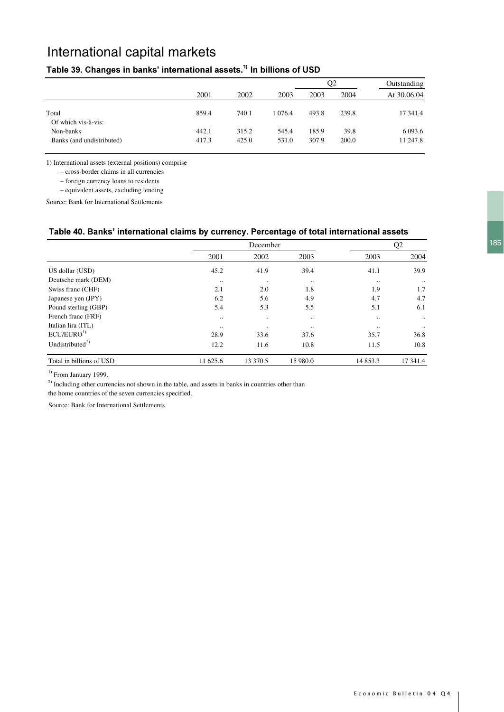# International capital markets

# Table 39. Changes in banks' international assets.<sup>1)</sup> In billions of USD

|                                        |                |                |                |                | O <sub>2</sub> | Outstanding           |
|----------------------------------------|----------------|----------------|----------------|----------------|----------------|-----------------------|
|                                        | 2001           | 2002           | 2003           | 2003           | 2004           | At 30.06.04           |
| Total<br>Of which vis-à-vis:           | 859.4          | 740.1          | 1 0 7 6.4      | 493.8          | 239.8          | 17 341.4              |
| Non-banks<br>Banks (and undistributed) | 442.1<br>417.3 | 315.2<br>425.0 | 545.4<br>531.0 | 185.9<br>307.9 | 39.8<br>200.0  | 6 0 9 3.6<br>11 247.8 |
|                                        |                |                |                |                |                |                       |

1) International assets (external positions) comprise

– cross-border claims in all currencies

– foreign currency loans to residents

– equivalent assets, excluding lending

Source: Bank for International Settlements

## Table 40. Banks' international claims by currency. Percentage of total international assets

|                             |           | December  |          |           | Q <sub>2</sub> |
|-----------------------------|-----------|-----------|----------|-----------|----------------|
|                             | 2001      | 2002      | 2003     | 2003      | 2004           |
| US dollar (USD)             | 45.2      | 41.9      | 39.4     | 41.1      | 39.9           |
| Deutsche mark (DEM)         | $\cdot$ . | $\ddotsc$ |          | $\cdot$ . | $\cdot$ .      |
| Swiss franc (CHF)           | 2.1       | 2.0       | 1.8      | 1.9       | 1.7            |
| Japanese yen (JPY)          | 6.2       | 5.6       | 4.9      | 4.7       | 4.7            |
| Pound sterling (GBP)        | 5.4       | 5.3       | 5.5      | 5.1       | 6.1            |
| French franc (FRF)          |           | $\ddotsc$ |          |           | $\cdot$ .      |
| Italian lira (ITL)          |           |           |          |           | $\cdot\cdot$   |
| ECU/EURO <sup>1</sup>       | 28.9      | 33.6      | 37.6     | 35.7      | 36.8           |
| Undistributed <sup>2)</sup> | 12.2      | 11.6      | 10.8     | 11.5      | 10.8           |
| Total in billions of USD    | 11 625.6  | 13 370.5  | 15 980.0 | 14 853.3  | 17 341.4       |

<sup>1)</sup> From January 1999.

<sup>2)</sup> Including other currencies not shown in the table, and assets in banks in countries other than

the home countries of the seven currencies specified.

Source: Bank for International Settlements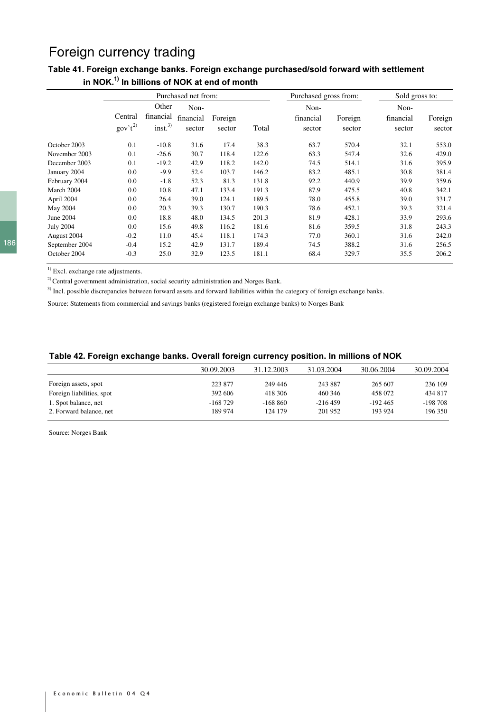# Foreign currency trading

# Table 41. Foreign exchange banks. Foreign exchange purchased/sold forward with settlement in NOK. $^{1)}$  In billions of NOK at end of month

|                  |                         |                                          | Purchased net from:         |                   |       | Purchased gross from:       |                   | Sold gross to:              |                   |
|------------------|-------------------------|------------------------------------------|-----------------------------|-------------------|-------|-----------------------------|-------------------|-----------------------------|-------------------|
|                  | Central<br>$gov't^{2)}$ | Other<br>financial<br>inst. <sup>3</sup> | Non-<br>financial<br>sector | Foreign<br>sector | Total | Non-<br>financial<br>sector | Foreign<br>sector | Non-<br>financial<br>sector | Foreign<br>sector |
| October 2003     | 0.1                     | $-10.8$                                  | 31.6                        | 17.4              | 38.3  | 63.7                        | 570.4             | 32.1                        | 553.0             |
| November 2003    | 0.1                     | $-26.6$                                  | 30.7                        | 118.4             | 122.6 | 63.3                        | 547.4             | 32.6                        | 429.0             |
| December 2003    | 0.1                     | $-19.2$                                  | 42.9                        | 118.2             | 142.0 | 74.5                        | 514.1             | 31.6                        | 395.9             |
| January 2004     | 0.0                     | $-9.9$                                   | 52.4                        | 103.7             | 146.2 | 83.2                        | 485.1             | 30.8                        | 381.4             |
| February 2004    | 0.0                     | $-1.8$                                   | 52.3                        | 81.3              | 131.8 | 92.2                        | 440.9             | 39.9                        | 359.6             |
| March 2004       | 0.0                     | 10.8                                     | 47.1                        | 133.4             | 191.3 | 87.9                        | 475.5             | 40.8                        | 342.1             |
| April 2004       | 0.0                     | 26.4                                     | 39.0                        | 124.1             | 189.5 | 78.0                        | 455.8             | 39.0                        | 331.7             |
| May 2004         | 0.0                     | 20.3                                     | 39.3                        | 130.7             | 190.3 | 78.6                        | 452.1             | 39.3                        | 321.4             |
| June 2004        | 0.0                     | 18.8                                     | 48.0                        | 134.5             | 201.3 | 81.9                        | 428.1             | 33.9                        | 293.6             |
| <b>July 2004</b> | 0.0                     | 15.6                                     | 49.8                        | 116.2             | 181.6 | 81.6                        | 359.5             | 31.8                        | 243.3             |
| August 2004      | $-0.2$                  | 11.0                                     | 45.4                        | 118.1             | 174.3 | 77.0                        | 360.1             | 31.6                        | 242.0             |
| September 2004   | $-0.4$                  | 15.2                                     | 42.9                        | 131.7             | 189.4 | 74.5                        | 388.2             | 31.6                        | 256.5             |
| October 2004     | $-0.3$                  | 25.0                                     | 32.9                        | 123.5             | 181.1 | 68.4                        | 329.7             | 35.5                        | 206.2             |

<sup>1)</sup> Excl. exchange rate adjustments.

<sup>2)</sup> Central government administration, social security administration and Norges Bank.

<sup>3)</sup> Incl. possible discrepancies between forward assets and forward liabilities within the category of foreign exchange banks.

Source: Statements from commercial and savings banks (registered foreign exchange banks) to Norges Bank

### Table 42. Foreign exchange banks. Overall foreign currency position. In millions of NOK

|                           | 30.09.2003 | 31.12.2003 | 31.03.2004 | 30.06.2004 | 30.09.2004 |
|---------------------------|------------|------------|------------|------------|------------|
| Foreign assets, spot      | 223 877    | 249 446    | 243 887    | 265 607    | 236 109    |
| Foreign liabilities, spot | 392 606    | 418 306    | 460 346    | 458 072    | 434 817    |
| 1. Spot balance, net      | $-168729$  | $-168860$  | $-216459$  | $-192465$  | $-198708$  |
| 2. Forward balance, net   | 189 974    | 124 179    | 201 952    | 193 924    | 196 350    |